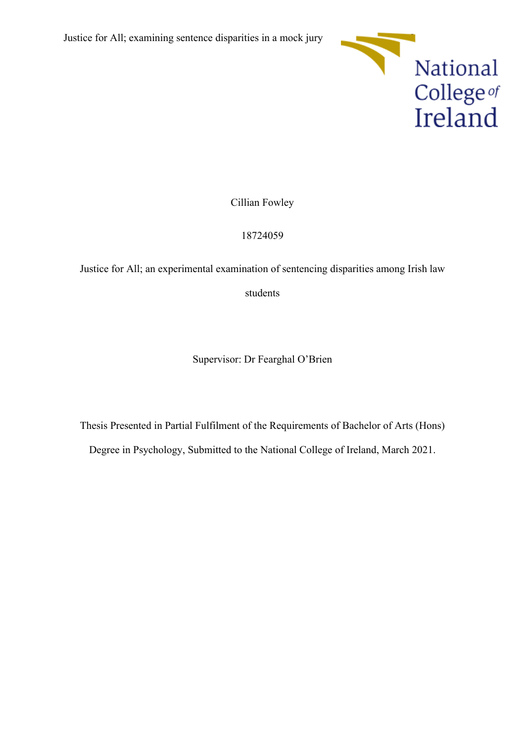

Cillian Fowley

18724059

Justice for All; an experimental examination of sentencing disparities among Irish law

students

Supervisor: Dr Fearghal O'Brien

Thesis Presented in Partial Fulfilment of the Requirements of Bachelor of Arts (Hons)

Degree in Psychology, Submitted to the National College of Ireland, March 2021.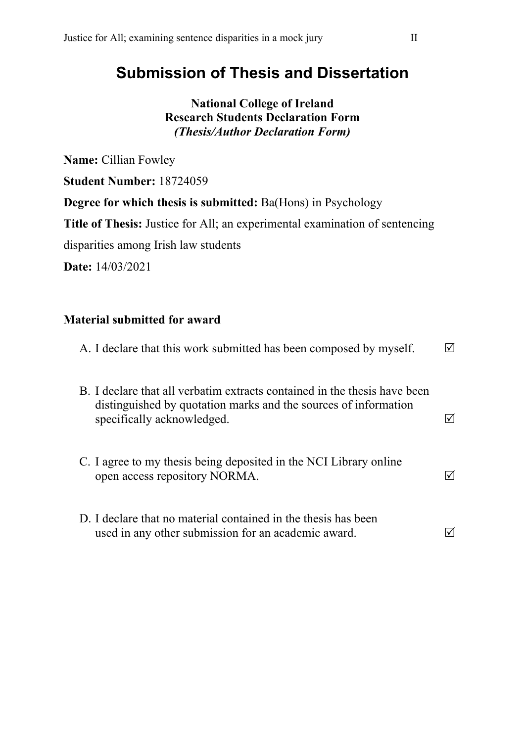# **Submission of Thesis and Dissertation**

## **National College of Ireland Research Students Declaration Form** *(Thesis/Author Declaration Form)*

**Name:** Cillian Fowley

**Student Number:** 18724059

**Degree for which thesis is submitted:** Ba(Hons) in Psychology

**Title of Thesis:** Justice for All; an experimental examination of sentencing

disparities among Irish law students

**Date:** 14/03/2021

## **Material submitted for award**

| A. I declare that this work submitted has been composed by myself.                                                                                                         |  |
|----------------------------------------------------------------------------------------------------------------------------------------------------------------------------|--|
| B. I declare that all verbatim extracts contained in the thesis have been<br>distinguished by quotation marks and the sources of information<br>specifically acknowledged. |  |
| C. I agree to my thesis being deposited in the NCI Library online<br>open access repository NORMA.                                                                         |  |
| D. I declare that no material contained in the thesis has been<br>used in any other submission for an academic award.                                                      |  |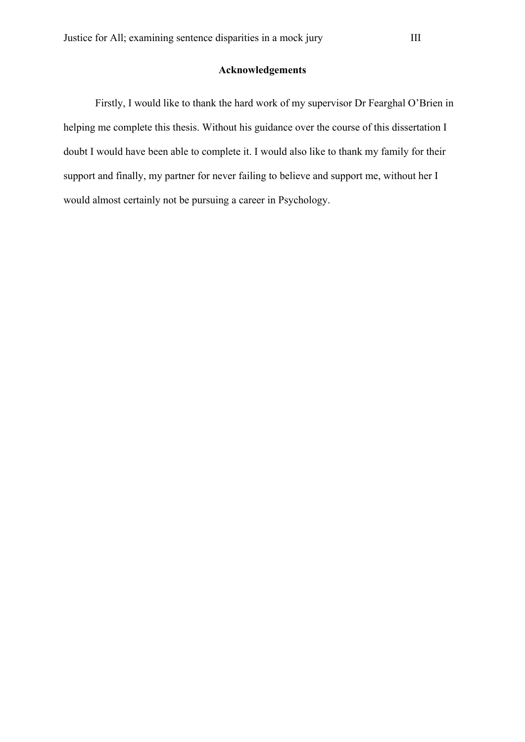### **Acknowledgements**

Firstly, I would like to thank the hard work of my supervisor Dr Fearghal O'Brien in helping me complete this thesis. Without his guidance over the course of this dissertation I doubt I would have been able to complete it. I would also like to thank my family for their support and finally, my partner for never failing to believe and support me, without her I would almost certainly not be pursuing a career in Psychology.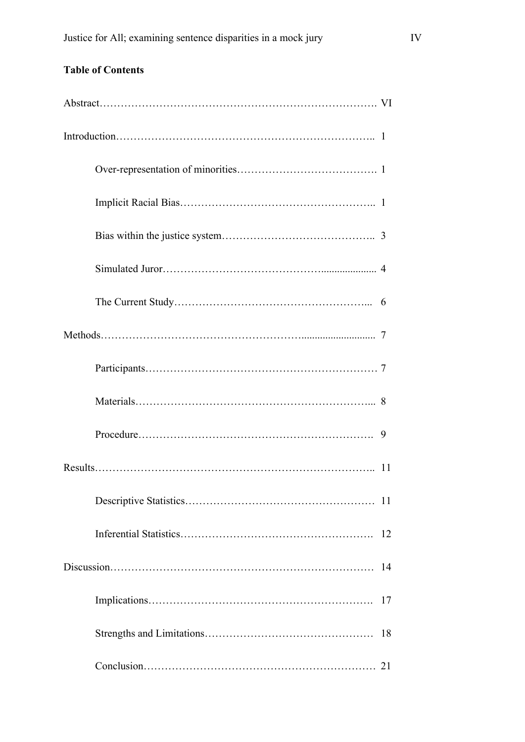| 9  |
|----|
| 11 |
|    |
|    |
| 14 |
| 17 |
| 18 |
|    |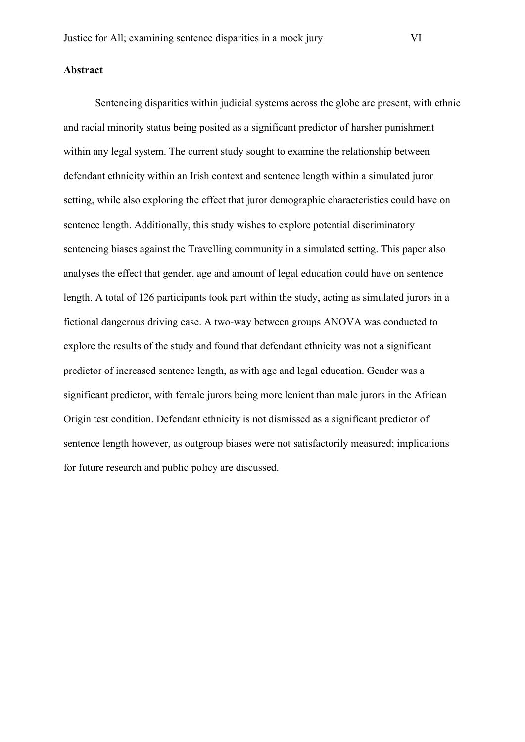#### **Abstract**

Sentencing disparities within judicial systems across the globe are present, with ethnic and racial minority status being posited as a significant predictor of harsher punishment within any legal system. The current study sought to examine the relationship between defendant ethnicity within an Irish context and sentence length within a simulated juror setting, while also exploring the effect that juror demographic characteristics could have on sentence length. Additionally, this study wishes to explore potential discriminatory sentencing biases against the Travelling community in a simulated setting. This paper also analyses the effect that gender, age and amount of legal education could have on sentence length. A total of 126 participants took part within the study, acting as simulated jurors in a fictional dangerous driving case. A two-way between groups ANOVA was conducted to explore the results of the study and found that defendant ethnicity was not a significant predictor of increased sentence length, as with age and legal education. Gender was a significant predictor, with female jurors being more lenient than male jurors in the African Origin test condition. Defendant ethnicity is not dismissed as a significant predictor of sentence length however, as outgroup biases were not satisfactorily measured; implications for future research and public policy are discussed.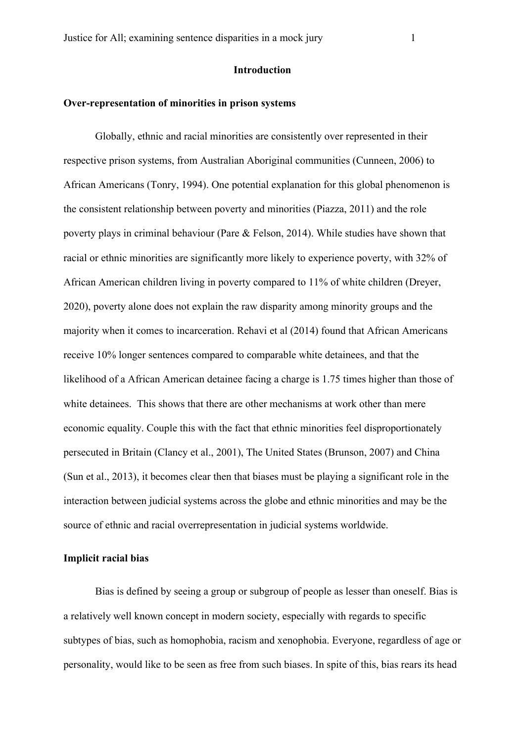#### **Over-representation of minorities in prison systems**

Globally, ethnic and racial minorities are consistently over represented in their respective prison systems, from Australian Aboriginal communities (Cunneen, 2006) to African Americans (Tonry, 1994). One potential explanation for this global phenomenon is the consistent relationship between poverty and minorities (Piazza, 2011) and the role poverty plays in criminal behaviour (Pare & Felson, 2014). While studies have shown that racial or ethnic minorities are significantly more likely to experience poverty, with 32% of African American children living in poverty compared to 11% of white children (Dreyer, 2020), poverty alone does not explain the raw disparity among minority groups and the majority when it comes to incarceration. Rehavi et al (2014) found that African Americans receive 10% longer sentences compared to comparable white detainees, and that the likelihood of a African American detainee facing a charge is 1.75 times higher than those of white detainees. This shows that there are other mechanisms at work other than mere economic equality. Couple this with the fact that ethnic minorities feel disproportionately persecuted in Britain (Clancy et al., 2001), The United States (Brunson, 2007) and China (Sun et al., 2013), it becomes clear then that biases must be playing a significant role in the interaction between judicial systems across the globe and ethnic minorities and may be the source of ethnic and racial overrepresentation in judicial systems worldwide.

#### **Implicit racial bias**

Bias is defined by seeing a group or subgroup of people as lesser than oneself. Bias is a relatively well known concept in modern society, especially with regards to specific subtypes of bias, such as homophobia, racism and xenophobia. Everyone, regardless of age or personality, would like to be seen as free from such biases. In spite of this, bias rears its head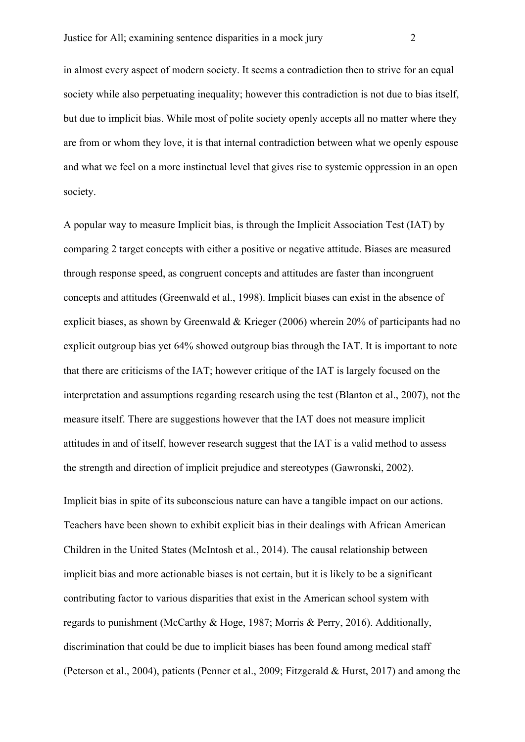in almost every aspect of modern society. It seems a contradiction then to strive for an equal society while also perpetuating inequality; however this contradiction is not due to bias itself, but due to implicit bias. While most of polite society openly accepts all no matter where they are from or whom they love, it is that internal contradiction between what we openly espouse and what we feel on a more instinctual level that gives rise to systemic oppression in an open society.

A popular way to measure Implicit bias, is through the Implicit Association Test (IAT) by comparing 2 target concepts with either a positive or negative attitude. Biases are measured through response speed, as congruent concepts and attitudes are faster than incongruent concepts and attitudes (Greenwald et al., 1998). Implicit biases can exist in the absence of explicit biases, as shown by Greenwald & Krieger (2006) wherein 20% of participants had no explicit outgroup bias yet 64% showed outgroup bias through the IAT. It is important to note that there are criticisms of the IAT; however critique of the IAT is largely focused on the interpretation and assumptions regarding research using the test (Blanton et al., 2007), not the measure itself. There are suggestions however that the IAT does not measure implicit attitudes in and of itself, however research suggest that the IAT is a valid method to assess the strength and direction of implicit prejudice and stereotypes (Gawronski, 2002).

Implicit bias in spite of its subconscious nature can have a tangible impact on our actions. Teachers have been shown to exhibit explicit bias in their dealings with African American Children in the United States (McIntosh et al., 2014). The causal relationship between implicit bias and more actionable biases is not certain, but it is likely to be a significant contributing factor to various disparities that exist in the American school system with regards to punishment (McCarthy & Hoge, 1987; Morris & Perry, 2016). Additionally, discrimination that could be due to implicit biases has been found among medical staff (Peterson et al., 2004), patients (Penner et al., 2009; Fitzgerald & Hurst, 2017) and among the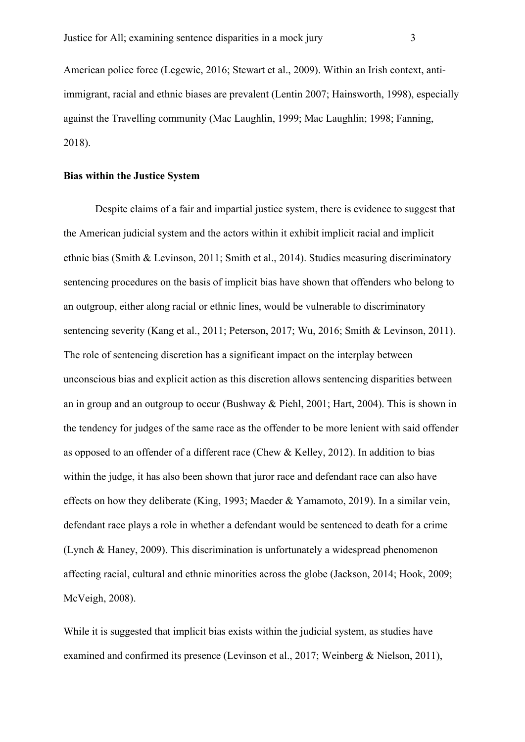American police force (Legewie, 2016; Stewart et al., 2009). Within an Irish context, antiimmigrant, racial and ethnic biases are prevalent (Lentin 2007; Hainsworth, 1998), especially against the Travelling community (Mac Laughlin, 1999; Mac Laughlin; 1998; Fanning, 2018).

#### **Bias within the Justice System**

Despite claims of a fair and impartial justice system, there is evidence to suggest that the American judicial system and the actors within it exhibit implicit racial and implicit ethnic bias (Smith & Levinson, 2011; Smith et al., 2014). Studies measuring discriminatory sentencing procedures on the basis of implicit bias have shown that offenders who belong to an outgroup, either along racial or ethnic lines, would be vulnerable to discriminatory sentencing severity (Kang et al., 2011; Peterson, 2017; Wu, 2016; Smith & Levinson, 2011). The role of sentencing discretion has a significant impact on the interplay between unconscious bias and explicit action as this discretion allows sentencing disparities between an in group and an outgroup to occur (Bushway & Piehl, 2001; Hart, 2004). This is shown in the tendency for judges of the same race as the offender to be more lenient with said offender as opposed to an offender of a different race (Chew & Kelley, 2012). In addition to bias within the judge, it has also been shown that juror race and defendant race can also have effects on how they deliberate (King, 1993; Maeder & Yamamoto, 2019). In a similar vein, defendant race plays a role in whether a defendant would be sentenced to death for a crime (Lynch & Haney, 2009). This discrimination is unfortunately a widespread phenomenon affecting racial, cultural and ethnic minorities across the globe (Jackson, 2014; Hook, 2009; McVeigh, 2008).

While it is suggested that implicit bias exists within the judicial system, as studies have examined and confirmed its presence (Levinson et al., 2017; Weinberg & Nielson, 2011),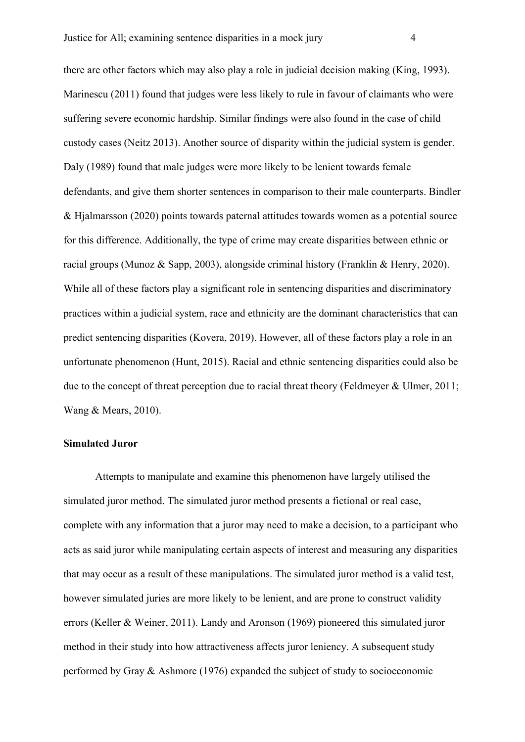there are other factors which may also play a role in judicial decision making (King, 1993). Marinescu (2011) found that judges were less likely to rule in favour of claimants who were suffering severe economic hardship. Similar findings were also found in the case of child custody cases (Neitz 2013). Another source of disparity within the judicial system is gender. Daly (1989) found that male judges were more likely to be lenient towards female defendants, and give them shorter sentences in comparison to their male counterparts. Bindler & Hjalmarsson (2020) points towards paternal attitudes towards women as a potential source for this difference. Additionally, the type of crime may create disparities between ethnic or racial groups (Munoz & Sapp, 2003), alongside criminal history (Franklin & Henry, 2020). While all of these factors play a significant role in sentencing disparities and discriminatory practices within a judicial system, race and ethnicity are the dominant characteristics that can predict sentencing disparities (Kovera, 2019). However, all of these factors play a role in an unfortunate phenomenon (Hunt, 2015). Racial and ethnic sentencing disparities could also be due to the concept of threat perception due to racial threat theory (Feldmeyer & Ulmer, 2011; Wang & Mears, 2010).

#### **Simulated Juror**

Attempts to manipulate and examine this phenomenon have largely utilised the simulated juror method. The simulated juror method presents a fictional or real case, complete with any information that a juror may need to make a decision, to a participant who acts as said juror while manipulating certain aspects of interest and measuring any disparities that may occur as a result of these manipulations. The simulated juror method is a valid test, however simulated juries are more likely to be lenient, and are prone to construct validity errors (Keller & Weiner, 2011). Landy and Aronson (1969) pioneered this simulated juror method in their study into how attractiveness affects juror leniency. A subsequent study performed by Gray & Ashmore (1976) expanded the subject of study to socioeconomic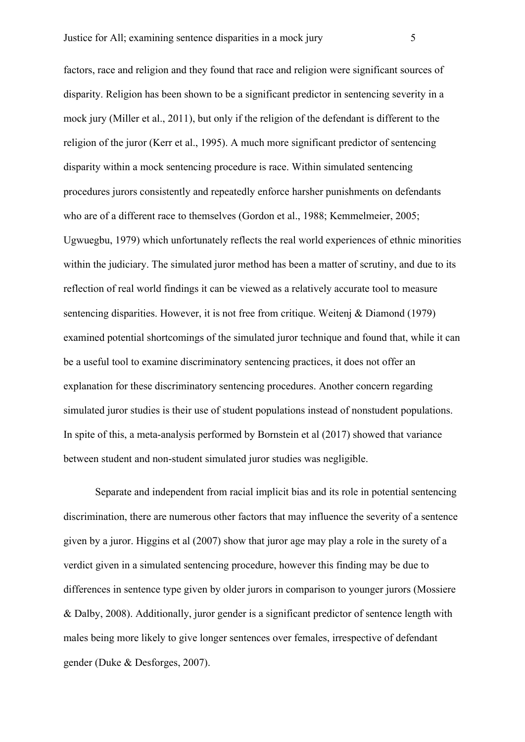factors, race and religion and they found that race and religion were significant sources of disparity. Religion has been shown to be a significant predictor in sentencing severity in a mock jury (Miller et al., 2011), but only if the religion of the defendant is different to the religion of the juror (Kerr et al., 1995). A much more significant predictor of sentencing disparity within a mock sentencing procedure is race. Within simulated sentencing procedures jurors consistently and repeatedly enforce harsher punishments on defendants who are of a different race to themselves (Gordon et al., 1988; Kemmelmeier, 2005; Ugwuegbu, 1979) which unfortunately reflects the real world experiences of ethnic minorities within the judiciary. The simulated juror method has been a matter of scrutiny, and due to its reflection of real world findings it can be viewed as a relatively accurate tool to measure sentencing disparities. However, it is not free from critique. Weitenj & Diamond (1979) examined potential shortcomings of the simulated juror technique and found that, while it can be a useful tool to examine discriminatory sentencing practices, it does not offer an explanation for these discriminatory sentencing procedures. Another concern regarding simulated juror studies is their use of student populations instead of nonstudent populations. In spite of this, a meta-analysis performed by Bornstein et al (2017) showed that variance between student and non-student simulated juror studies was negligible.

Separate and independent from racial implicit bias and its role in potential sentencing discrimination, there are numerous other factors that may influence the severity of a sentence given by a juror. Higgins et al (2007) show that juror age may play a role in the surety of a verdict given in a simulated sentencing procedure, however this finding may be due to differences in sentence type given by older jurors in comparison to younger jurors (Mossiere & Dalby, 2008). Additionally, juror gender is a significant predictor of sentence length with males being more likely to give longer sentences over females, irrespective of defendant gender (Duke & Desforges, 2007).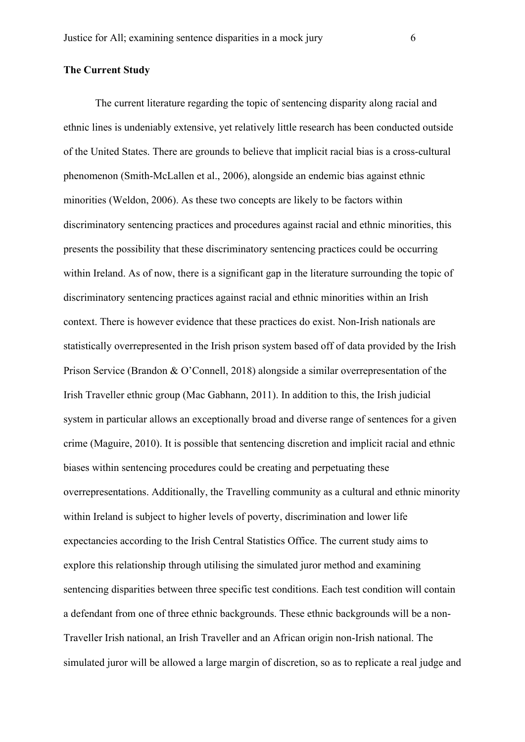#### **The Current Study**

The current literature regarding the topic of sentencing disparity along racial and ethnic lines is undeniably extensive, yet relatively little research has been conducted outside of the United States. There are grounds to believe that implicit racial bias is a cross-cultural phenomenon (Smith-McLallen et al., 2006), alongside an endemic bias against ethnic minorities (Weldon, 2006). As these two concepts are likely to be factors within discriminatory sentencing practices and procedures against racial and ethnic minorities, this presents the possibility that these discriminatory sentencing practices could be occurring within Ireland. As of now, there is a significant gap in the literature surrounding the topic of discriminatory sentencing practices against racial and ethnic minorities within an Irish context. There is however evidence that these practices do exist. Non-Irish nationals are statistically overrepresented in the Irish prison system based off of data provided by the Irish Prison Service (Brandon & O'Connell, 2018) alongside a similar overrepresentation of the Irish Traveller ethnic group (Mac Gabhann, 2011). In addition to this, the Irish judicial system in particular allows an exceptionally broad and diverse range of sentences for a given crime (Maguire, 2010). It is possible that sentencing discretion and implicit racial and ethnic biases within sentencing procedures could be creating and perpetuating these overrepresentations. Additionally, the Travelling community as a cultural and ethnic minority within Ireland is subject to higher levels of poverty, discrimination and lower life expectancies according to the Irish Central Statistics Office. The current study aims to explore this relationship through utilising the simulated juror method and examining sentencing disparities between three specific test conditions. Each test condition will contain a defendant from one of three ethnic backgrounds. These ethnic backgrounds will be a non-Traveller Irish national, an Irish Traveller and an African origin non-Irish national. The simulated juror will be allowed a large margin of discretion, so as to replicate a real judge and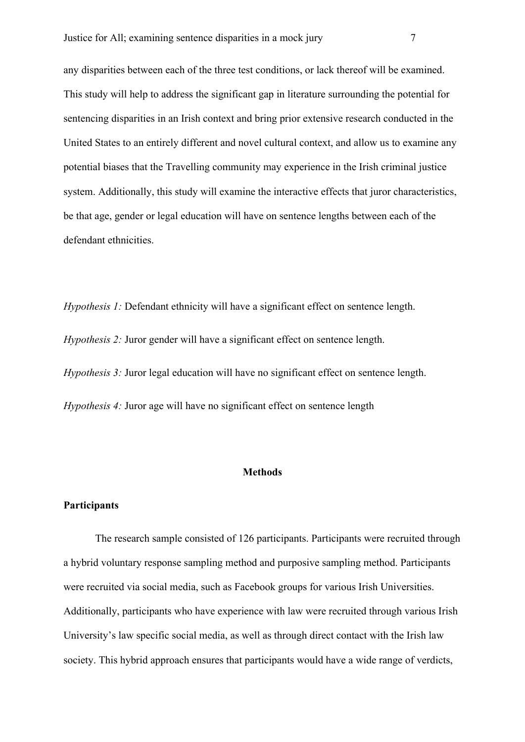any disparities between each of the three test conditions, or lack thereof will be examined. This study will help to address the significant gap in literature surrounding the potential for sentencing disparities in an Irish context and bring prior extensive research conducted in the United States to an entirely different and novel cultural context, and allow us to examine any potential biases that the Travelling community may experience in the Irish criminal justice system. Additionally, this study will examine the interactive effects that juror characteristics, be that age, gender or legal education will have on sentence lengths between each of the defendant ethnicities.

*Hypothesis 1:* Defendant ethnicity will have a significant effect on sentence length. *Hypothesis 2:* Juror gender will have a significant effect on sentence length. *Hypothesis 3:* Juror legal education will have no significant effect on sentence length. *Hypothesis 4:* Juror age will have no significant effect on sentence length

#### **Methods**

#### **Participants**

The research sample consisted of 126 participants. Participants were recruited through a hybrid voluntary response sampling method and purposive sampling method. Participants were recruited via social media, such as Facebook groups for various Irish Universities. Additionally, participants who have experience with law were recruited through various Irish University's law specific social media, as well as through direct contact with the Irish law society. This hybrid approach ensures that participants would have a wide range of verdicts,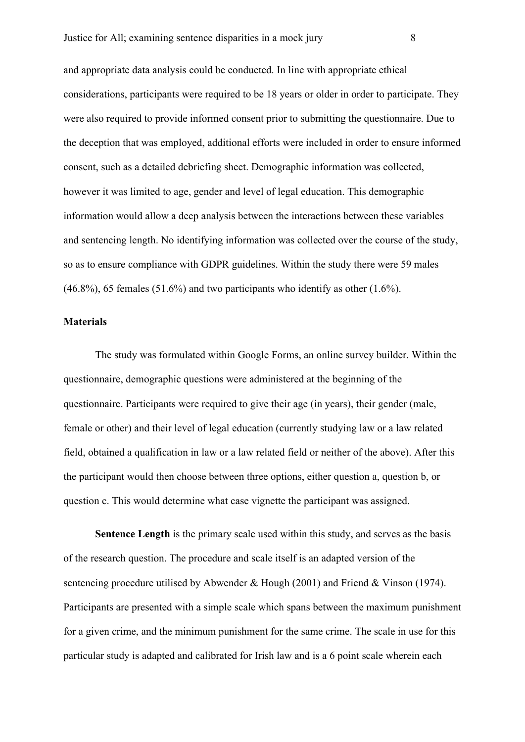and appropriate data analysis could be conducted. In line with appropriate ethical considerations, participants were required to be 18 years or older in order to participate. They were also required to provide informed consent prior to submitting the questionnaire. Due to the deception that was employed, additional efforts were included in order to ensure informed consent, such as a detailed debriefing sheet. Demographic information was collected, however it was limited to age, gender and level of legal education. This demographic information would allow a deep analysis between the interactions between these variables and sentencing length. No identifying information was collected over the course of the study, so as to ensure compliance with GDPR guidelines. Within the study there were 59 males  $(46.8\%)$ , 65 females  $(51.6\%)$  and two participants who identify as other  $(1.6\%)$ .

#### **Materials**

The study was formulated within Google Forms, an online survey builder. Within the questionnaire, demographic questions were administered at the beginning of the questionnaire. Participants were required to give their age (in years), their gender (male, female or other) and their level of legal education (currently studying law or a law related field, obtained a qualification in law or a law related field or neither of the above). After this the participant would then choose between three options, either question a, question b, or question c. This would determine what case vignette the participant was assigned.

**Sentence Length** is the primary scale used within this study, and serves as the basis of the research question. The procedure and scale itself is an adapted version of the sentencing procedure utilised by Abwender & Hough (2001) and Friend & Vinson (1974). Participants are presented with a simple scale which spans between the maximum punishment for a given crime, and the minimum punishment for the same crime. The scale in use for this particular study is adapted and calibrated for Irish law and is a 6 point scale wherein each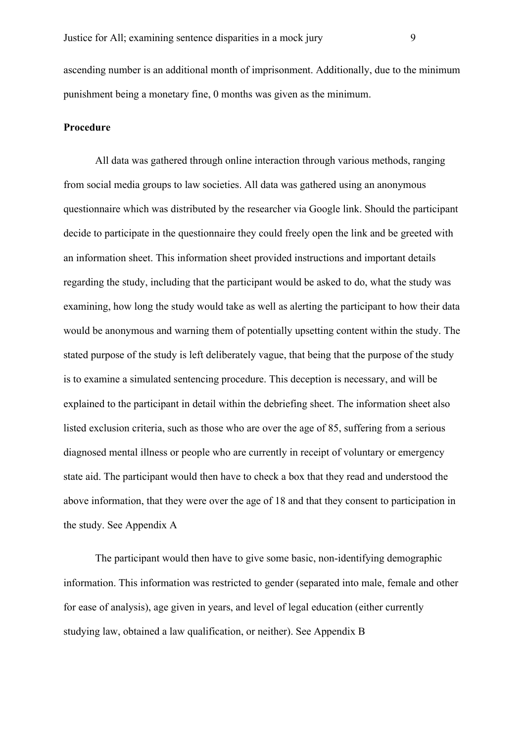ascending number is an additional month of imprisonment. Additionally, due to the minimum punishment being a monetary fine, 0 months was given as the minimum.

#### **Procedure**

All data was gathered through online interaction through various methods, ranging from social media groups to law societies. All data was gathered using an anonymous questionnaire which was distributed by the researcher via Google link. Should the participant decide to participate in the questionnaire they could freely open the link and be greeted with an information sheet. This information sheet provided instructions and important details regarding the study, including that the participant would be asked to do, what the study was examining, how long the study would take as well as alerting the participant to how their data would be anonymous and warning them of potentially upsetting content within the study. The stated purpose of the study is left deliberately vague, that being that the purpose of the study is to examine a simulated sentencing procedure. This deception is necessary, and will be explained to the participant in detail within the debriefing sheet. The information sheet also listed exclusion criteria, such as those who are over the age of 85, suffering from a serious diagnosed mental illness or people who are currently in receipt of voluntary or emergency state aid. The participant would then have to check a box that they read and understood the above information, that they were over the age of 18 and that they consent to participation in the study. See Appendix A

The participant would then have to give some basic, non-identifying demographic information. This information was restricted to gender (separated into male, female and other for ease of analysis), age given in years, and level of legal education (either currently studying law, obtained a law qualification, or neither). See Appendix B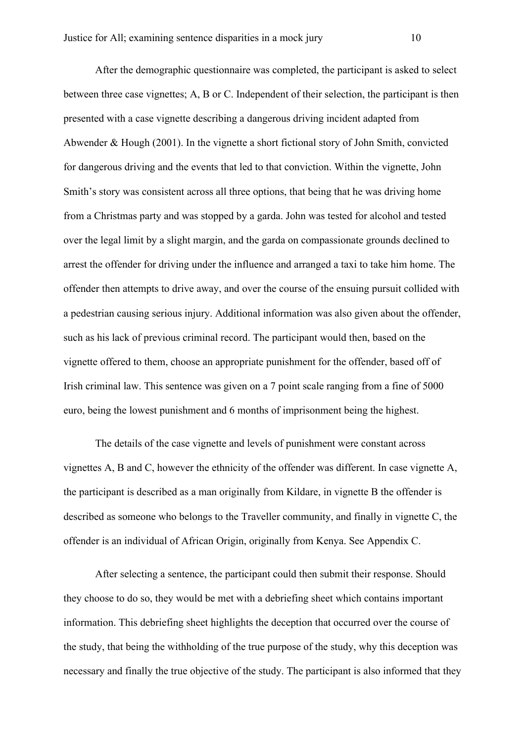After the demographic questionnaire was completed, the participant is asked to select between three case vignettes; A, B or C. Independent of their selection, the participant is then presented with a case vignette describing a dangerous driving incident adapted from Abwender & Hough (2001). In the vignette a short fictional story of John Smith, convicted for dangerous driving and the events that led to that conviction. Within the vignette, John Smith's story was consistent across all three options, that being that he was driving home from a Christmas party and was stopped by a garda. John was tested for alcohol and tested over the legal limit by a slight margin, and the garda on compassionate grounds declined to arrest the offender for driving under the influence and arranged a taxi to take him home. The offender then attempts to drive away, and over the course of the ensuing pursuit collided with a pedestrian causing serious injury. Additional information was also given about the offender, such as his lack of previous criminal record. The participant would then, based on the vignette offered to them, choose an appropriate punishment for the offender, based off of Irish criminal law. This sentence was given on a 7 point scale ranging from a fine of 5000 euro, being the lowest punishment and 6 months of imprisonment being the highest.

The details of the case vignette and levels of punishment were constant across vignettes A, B and C, however the ethnicity of the offender was different. In case vignette A, the participant is described as a man originally from Kildare, in vignette B the offender is described as someone who belongs to the Traveller community, and finally in vignette C, the offender is an individual of African Origin, originally from Kenya. See Appendix C.

After selecting a sentence, the participant could then submit their response. Should they choose to do so, they would be met with a debriefing sheet which contains important information. This debriefing sheet highlights the deception that occurred over the course of the study, that being the withholding of the true purpose of the study, why this deception was necessary and finally the true objective of the study. The participant is also informed that they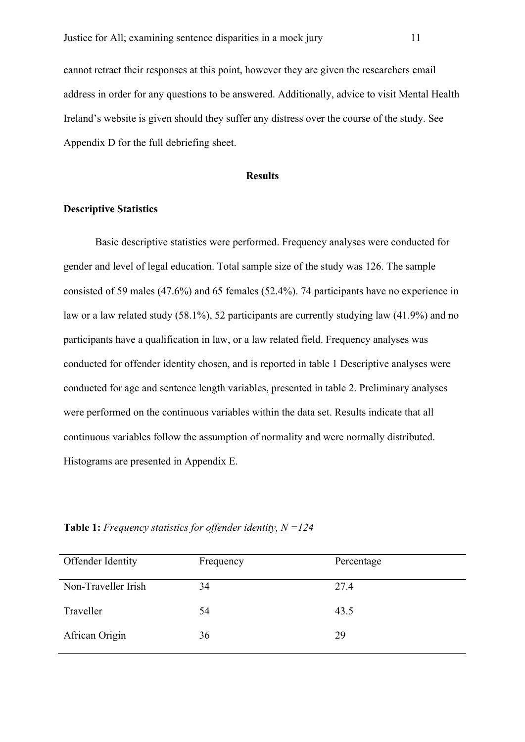cannot retract their responses at this point, however they are given the researchers email address in order for any questions to be answered. Additionally, advice to visit Mental Health Ireland's website is given should they suffer any distress over the course of the study. See Appendix D for the full debriefing sheet.

#### **Results**

#### **Descriptive Statistics**

Basic descriptive statistics were performed. Frequency analyses were conducted for gender and level of legal education. Total sample size of the study was 126. The sample consisted of 59 males (47.6%) and 65 females (52.4%). 74 participants have no experience in law or a law related study (58.1%), 52 participants are currently studying law (41.9%) and no participants have a qualification in law, or a law related field. Frequency analyses was conducted for offender identity chosen, and is reported in table 1 Descriptive analyses were conducted for age and sentence length variables, presented in table 2. Preliminary analyses were performed on the continuous variables within the data set. Results indicate that all continuous variables follow the assumption of normality and were normally distributed. Histograms are presented in Appendix E.

Offender Identity Frequency Percentage Non-Traveller Irish 34 27.4 Traveller 54 43.5 African Origin 36 29

**Table 1:** *Frequency statistics for offender identity, N =124*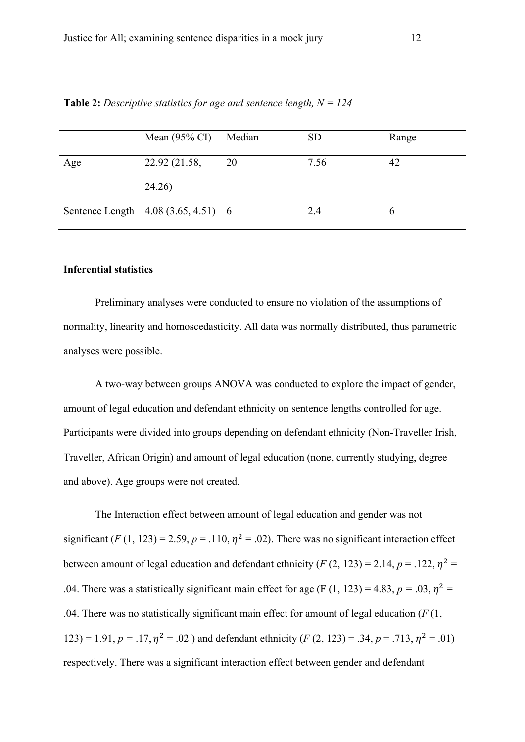|     | Mean $(95\% \text{ CI})$            | Median | <b>SD</b> | Range |
|-----|-------------------------------------|--------|-----------|-------|
| Age | 22.92 (21.58,                       | 20     | 7.56      | 42    |
|     | 24.26)                              |        |           |       |
|     | Sentence Length 4.08 (3.65, 4.51) 6 |        | 2.4       |       |

**Table 2:** *Descriptive statistics for age and sentence length, N = 124*

#### **Inferential statistics**

Preliminary analyses were conducted to ensure no violation of the assumptions of normality, linearity and homoscedasticity. All data was normally distributed, thus parametric analyses were possible.

A two-way between groups ANOVA was conducted to explore the impact of gender, amount of legal education and defendant ethnicity on sentence lengths controlled for age. Participants were divided into groups depending on defendant ethnicity (Non-Traveller Irish, Traveller, African Origin) and amount of legal education (none, currently studying, degree and above). Age groups were not created.

The Interaction effect between amount of legal education and gender was not significant (*F* (1, 123) = 2.59,  $p = .110$ ,  $\eta^2 = .02$ ). There was no significant interaction effect between amount of legal education and defendant ethnicity (*F* (2, 123) = 2.14,  $p = .122$ ,  $n^2 =$ .04. There was a statistically significant main effect for age (F (1, 123) = 4.83,  $p = .03$ ,  $\eta^2$  = .04. There was no statistically significant main effect for amount of legal education (*F* (1, 123) = 1.91,  $p = .17$ ,  $\eta^2 = .02$ ) and defendant ethnicity (*F* (2, 123) = .34,  $p = .713$ ,  $\eta^2 = .01$ ) respectively. There was a significant interaction effect between gender and defendant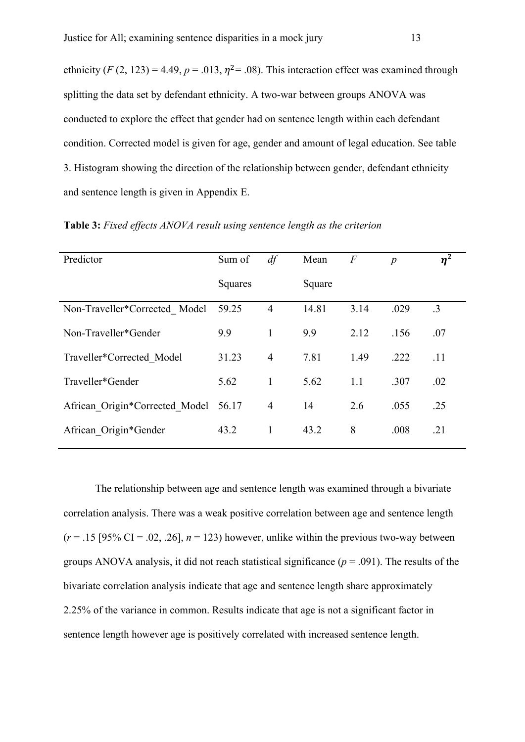ethnicity (*F* (2, 123) = 4.49,  $p = .013$ ,  $\eta^2 = .08$ ). This interaction effect was examined through splitting the data set by defendant ethnicity. A two-war between groups ANOVA was conducted to explore the effect that gender had on sentence length within each defendant condition. Corrected model is given for age, gender and amount of legal education. See table 3. Histogram showing the direction of the relationship between gender, defendant ethnicity and sentence length is given in Appendix E.

| Predictor                      | Sum of  | df             | Mean   | $\overline{F}$ | $\boldsymbol{p}$ | $\eta^2$  |
|--------------------------------|---------|----------------|--------|----------------|------------------|-----------|
|                                | Squares |                | Square |                |                  |           |
| Non-Traveller*Corrected Model  | 59.25   | $\overline{4}$ | 14.81  | 3.14           | .029             | $\cdot$ 3 |
| Non-Traveller*Gender           | 9.9     | 1              | 9.9    | 2.12           | .156             | .07       |
| Traveller*Corrected Model      | 31.23   | $\overline{4}$ | 7.81   | 1.49           | .222             | .11       |
| Traveller*Gender               | 5.62    | 1              | 5.62   | 1.1            | .307             | .02       |
| African Origin*Corrected Model | 56.17   | $\overline{4}$ | 14     | 2.6            | .055             | .25       |
| African Origin*Gender          | 43.2    | 1              | 43.2   | 8              | .008             | .21       |

**Table 3:** *Fixed effects ANOVA result using sentence length as the criterion*

The relationship between age and sentence length was examined through a bivariate correlation analysis. There was a weak positive correlation between age and sentence length  $(r = .15$  [95% CI = .02, .26],  $n = 123$ ) however, unlike within the previous two-way between groups ANOVA analysis, it did not reach statistical significance (*p* = .091). The results of the bivariate correlation analysis indicate that age and sentence length share approximately 2.25% of the variance in common. Results indicate that age is not a significant factor in sentence length however age is positively correlated with increased sentence length.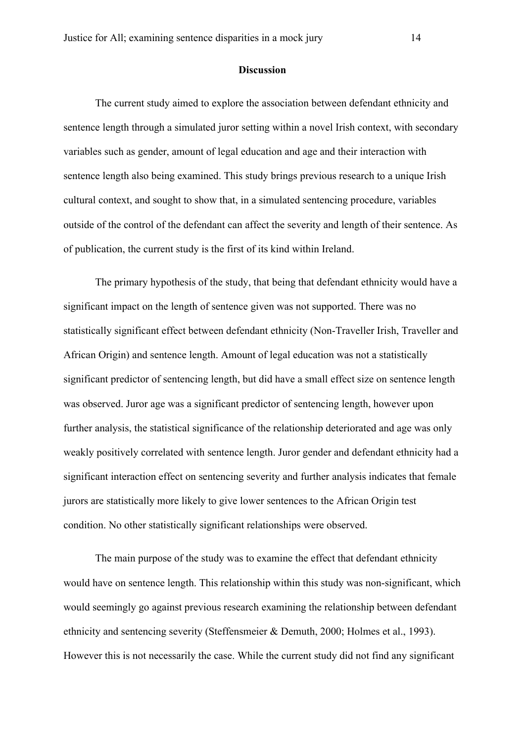#### **Discussion**

The current study aimed to explore the association between defendant ethnicity and sentence length through a simulated juror setting within a novel Irish context, with secondary variables such as gender, amount of legal education and age and their interaction with sentence length also being examined. This study brings previous research to a unique Irish cultural context, and sought to show that, in a simulated sentencing procedure, variables outside of the control of the defendant can affect the severity and length of their sentence. As of publication, the current study is the first of its kind within Ireland.

The primary hypothesis of the study, that being that defendant ethnicity would have a significant impact on the length of sentence given was not supported. There was no statistically significant effect between defendant ethnicity (Non-Traveller Irish, Traveller and African Origin) and sentence length. Amount of legal education was not a statistically significant predictor of sentencing length, but did have a small effect size on sentence length was observed. Juror age was a significant predictor of sentencing length, however upon further analysis, the statistical significance of the relationship deteriorated and age was only weakly positively correlated with sentence length. Juror gender and defendant ethnicity had a significant interaction effect on sentencing severity and further analysis indicates that female jurors are statistically more likely to give lower sentences to the African Origin test condition. No other statistically significant relationships were observed.

The main purpose of the study was to examine the effect that defendant ethnicity would have on sentence length. This relationship within this study was non-significant, which would seemingly go against previous research examining the relationship between defendant ethnicity and sentencing severity (Steffensmeier & Demuth, 2000; Holmes et al., 1993). However this is not necessarily the case. While the current study did not find any significant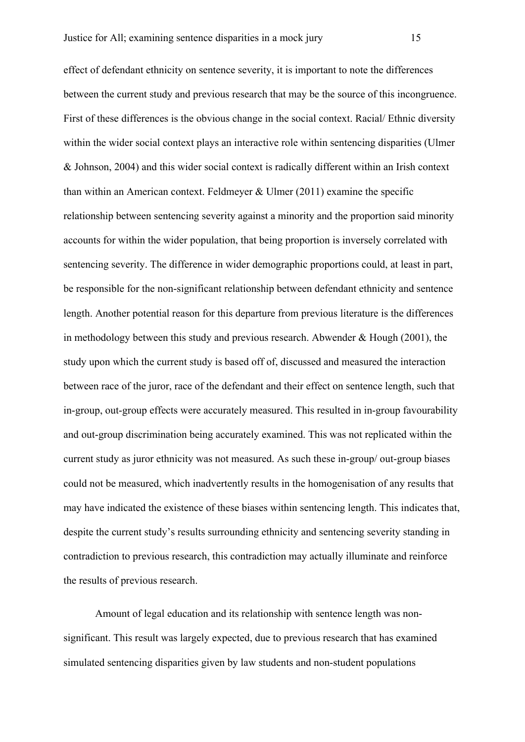effect of defendant ethnicity on sentence severity, it is important to note the differences between the current study and previous research that may be the source of this incongruence. First of these differences is the obvious change in the social context. Racial/ Ethnic diversity within the wider social context plays an interactive role within sentencing disparities (Ulmer & Johnson, 2004) and this wider social context is radically different within an Irish context than within an American context. Feldmeyer & Ulmer (2011) examine the specific relationship between sentencing severity against a minority and the proportion said minority accounts for within the wider population, that being proportion is inversely correlated with sentencing severity. The difference in wider demographic proportions could, at least in part, be responsible for the non-significant relationship between defendant ethnicity and sentence length. Another potential reason for this departure from previous literature is the differences in methodology between this study and previous research. Abwender & Hough (2001), the study upon which the current study is based off of, discussed and measured the interaction between race of the juror, race of the defendant and their effect on sentence length, such that in-group, out-group effects were accurately measured. This resulted in in-group favourability and out-group discrimination being accurately examined. This was not replicated within the current study as juror ethnicity was not measured. As such these in-group/ out-group biases could not be measured, which inadvertently results in the homogenisation of any results that may have indicated the existence of these biases within sentencing length. This indicates that, despite the current study's results surrounding ethnicity and sentencing severity standing in contradiction to previous research, this contradiction may actually illuminate and reinforce the results of previous research.

Amount of legal education and its relationship with sentence length was nonsignificant. This result was largely expected, due to previous research that has examined simulated sentencing disparities given by law students and non-student populations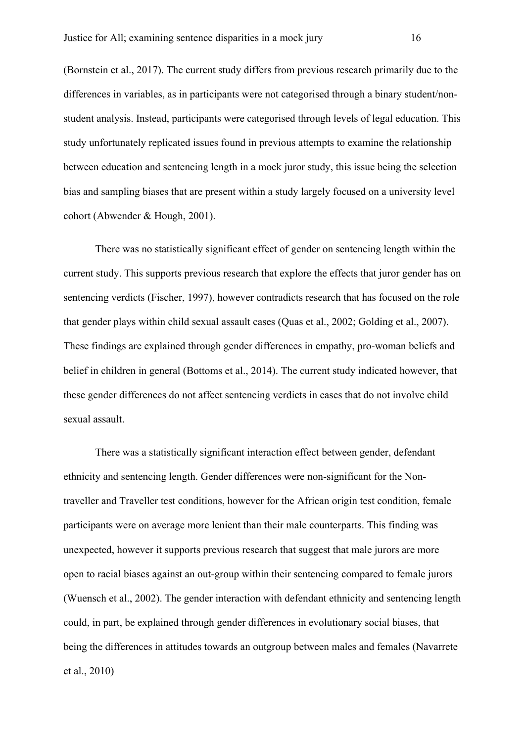(Bornstein et al., 2017). The current study differs from previous research primarily due to the differences in variables, as in participants were not categorised through a binary student/nonstudent analysis. Instead, participants were categorised through levels of legal education. This study unfortunately replicated issues found in previous attempts to examine the relationship between education and sentencing length in a mock juror study, this issue being the selection bias and sampling biases that are present within a study largely focused on a university level cohort (Abwender & Hough, 2001).

There was no statistically significant effect of gender on sentencing length within the current study. This supports previous research that explore the effects that juror gender has on sentencing verdicts (Fischer, 1997), however contradicts research that has focused on the role that gender plays within child sexual assault cases (Quas et al., 2002; Golding et al., 2007). These findings are explained through gender differences in empathy, pro-woman beliefs and belief in children in general (Bottoms et al., 2014). The current study indicated however, that these gender differences do not affect sentencing verdicts in cases that do not involve child sexual assault.

There was a statistically significant interaction effect between gender, defendant ethnicity and sentencing length. Gender differences were non-significant for the Nontraveller and Traveller test conditions, however for the African origin test condition, female participants were on average more lenient than their male counterparts. This finding was unexpected, however it supports previous research that suggest that male jurors are more open to racial biases against an out-group within their sentencing compared to female jurors (Wuensch et al., 2002). The gender interaction with defendant ethnicity and sentencing length could, in part, be explained through gender differences in evolutionary social biases, that being the differences in attitudes towards an outgroup between males and females (Navarrete et al., 2010)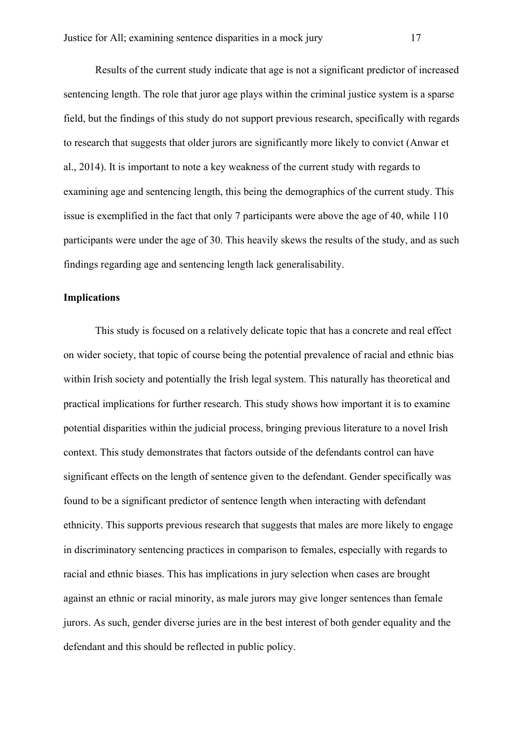Results of the current study indicate that age is not a significant predictor of increased sentencing length. The role that juror age plays within the criminal justice system is a sparse field, but the findings of this study do not support previous research, specifically with regards to research that suggests that older jurors are significantly more likely to convict (Anwar et al., 2014). It is important to note a key weakness of the current study with regards to examining age and sentencing length, this being the demographics of the current study. This issue is exemplified in the fact that only 7 participants were above the age of 40, while 110 participants were under the age of 30. This heavily skews the results of the study, and as such findings regarding age and sentencing length lack generalisability.

#### **Implications**

This study is focused on a relatively delicate topic that has a concrete and real effect on wider society, that topic of course being the potential prevalence of racial and ethnic bias within Irish society and potentially the Irish legal system. This naturally has theoretical and practical implications for further research. This study shows how important it is to examine potential disparities within the judicial process, bringing previous literature to a novel Irish context. This study demonstrates that factors outside of the defendants control can have significant effects on the length of sentence given to the defendant. Gender specifically was found to be a significant predictor of sentence length when interacting with defendant ethnicity. This supports previous research that suggests that males are more likely to engage in discriminatory sentencing practices in comparison to females, especially with regards to racial and ethnic biases. This has implications in jury selection when cases are brought against an ethnic or racial minority, as male jurors may give longer sentences than female jurors. As such, gender diverse juries are in the best interest of both gender equality and the defendant and this should be reflected in public policy.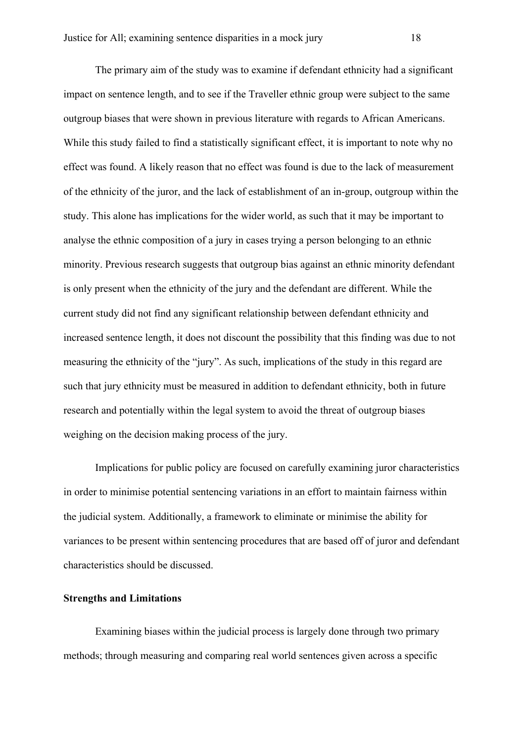The primary aim of the study was to examine if defendant ethnicity had a significant impact on sentence length, and to see if the Traveller ethnic group were subject to the same outgroup biases that were shown in previous literature with regards to African Americans. While this study failed to find a statistically significant effect, it is important to note why no effect was found. A likely reason that no effect was found is due to the lack of measurement of the ethnicity of the juror, and the lack of establishment of an in-group, outgroup within the study. This alone has implications for the wider world, as such that it may be important to analyse the ethnic composition of a jury in cases trying a person belonging to an ethnic minority. Previous research suggests that outgroup bias against an ethnic minority defendant is only present when the ethnicity of the jury and the defendant are different. While the current study did not find any significant relationship between defendant ethnicity and increased sentence length, it does not discount the possibility that this finding was due to not measuring the ethnicity of the "jury". As such, implications of the study in this regard are such that jury ethnicity must be measured in addition to defendant ethnicity, both in future research and potentially within the legal system to avoid the threat of outgroup biases weighing on the decision making process of the jury.

Implications for public policy are focused on carefully examining juror characteristics in order to minimise potential sentencing variations in an effort to maintain fairness within the judicial system. Additionally, a framework to eliminate or minimise the ability for variances to be present within sentencing procedures that are based off of juror and defendant characteristics should be discussed.

#### **Strengths and Limitations**

Examining biases within the judicial process is largely done through two primary methods; through measuring and comparing real world sentences given across a specific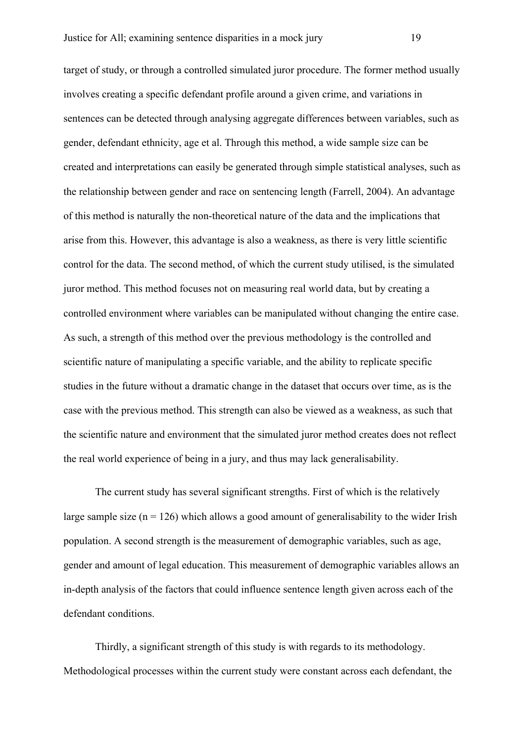target of study, or through a controlled simulated juror procedure. The former method usually involves creating a specific defendant profile around a given crime, and variations in sentences can be detected through analysing aggregate differences between variables, such as gender, defendant ethnicity, age et al. Through this method, a wide sample size can be created and interpretations can easily be generated through simple statistical analyses, such as the relationship between gender and race on sentencing length (Farrell, 2004). An advantage of this method is naturally the non-theoretical nature of the data and the implications that arise from this. However, this advantage is also a weakness, as there is very little scientific control for the data. The second method, of which the current study utilised, is the simulated juror method. This method focuses not on measuring real world data, but by creating a controlled environment where variables can be manipulated without changing the entire case. As such, a strength of this method over the previous methodology is the controlled and scientific nature of manipulating a specific variable, and the ability to replicate specific studies in the future without a dramatic change in the dataset that occurs over time, as is the case with the previous method. This strength can also be viewed as a weakness, as such that the scientific nature and environment that the simulated juror method creates does not reflect the real world experience of being in a jury, and thus may lack generalisability.

The current study has several significant strengths. First of which is the relatively large sample size  $(n = 126)$  which allows a good amount of generalisability to the wider Irish population. A second strength is the measurement of demographic variables, such as age, gender and amount of legal education. This measurement of demographic variables allows an in-depth analysis of the factors that could influence sentence length given across each of the defendant conditions.

Thirdly, a significant strength of this study is with regards to its methodology. Methodological processes within the current study were constant across each defendant, the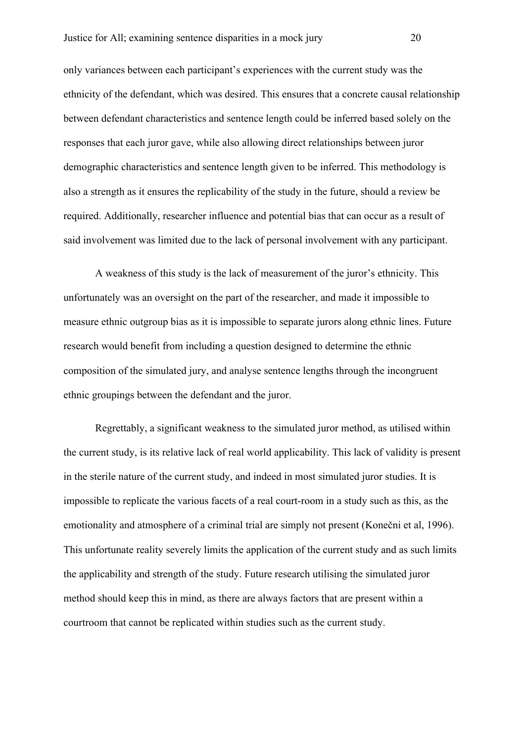only variances between each participant's experiences with the current study was the ethnicity of the defendant, which was desired. This ensures that a concrete causal relationship between defendant characteristics and sentence length could be inferred based solely on the responses that each juror gave, while also allowing direct relationships between juror demographic characteristics and sentence length given to be inferred. This methodology is also a strength as it ensures the replicability of the study in the future, should a review be required. Additionally, researcher influence and potential bias that can occur as a result of said involvement was limited due to the lack of personal involvement with any participant.

A weakness of this study is the lack of measurement of the juror's ethnicity. This unfortunately was an oversight on the part of the researcher, and made it impossible to measure ethnic outgroup bias as it is impossible to separate jurors along ethnic lines. Future research would benefit from including a question designed to determine the ethnic composition of the simulated jury, and analyse sentence lengths through the incongruent ethnic groupings between the defendant and the juror.

Regrettably, a significant weakness to the simulated juror method, as utilised within the current study, is its relative lack of real world applicability. This lack of validity is present in the sterile nature of the current study, and indeed in most simulated juror studies. It is impossible to replicate the various facets of a real court-room in a study such as this, as the emotionality and atmosphere of a criminal trial are simply not present (Konečni et al, 1996). This unfortunate reality severely limits the application of the current study and as such limits the applicability and strength of the study. Future research utilising the simulated juror method should keep this in mind, as there are always factors that are present within a courtroom that cannot be replicated within studies such as the current study.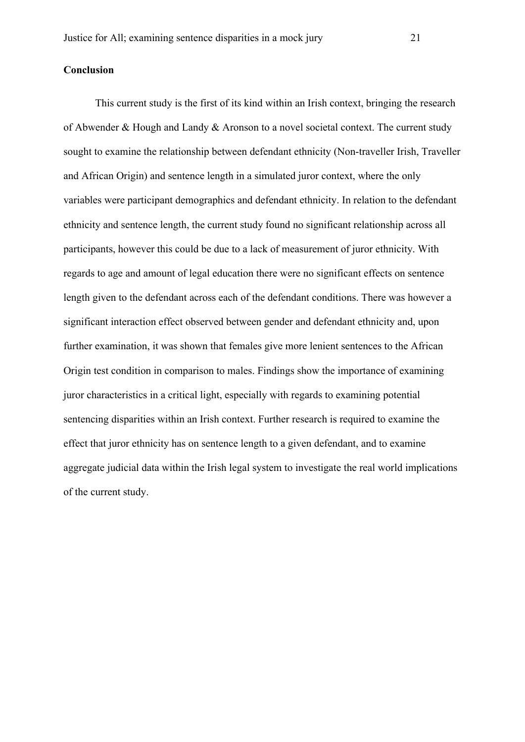#### **Conclusion**

This current study is the first of its kind within an Irish context, bringing the research of Abwender & Hough and Landy & Aronson to a novel societal context. The current study sought to examine the relationship between defendant ethnicity (Non-traveller Irish, Traveller and African Origin) and sentence length in a simulated juror context, where the only variables were participant demographics and defendant ethnicity. In relation to the defendant ethnicity and sentence length, the current study found no significant relationship across all participants, however this could be due to a lack of measurement of juror ethnicity. With regards to age and amount of legal education there were no significant effects on sentence length given to the defendant across each of the defendant conditions. There was however a significant interaction effect observed between gender and defendant ethnicity and, upon further examination, it was shown that females give more lenient sentences to the African Origin test condition in comparison to males. Findings show the importance of examining juror characteristics in a critical light, especially with regards to examining potential sentencing disparities within an Irish context. Further research is required to examine the effect that juror ethnicity has on sentence length to a given defendant, and to examine aggregate judicial data within the Irish legal system to investigate the real world implications of the current study.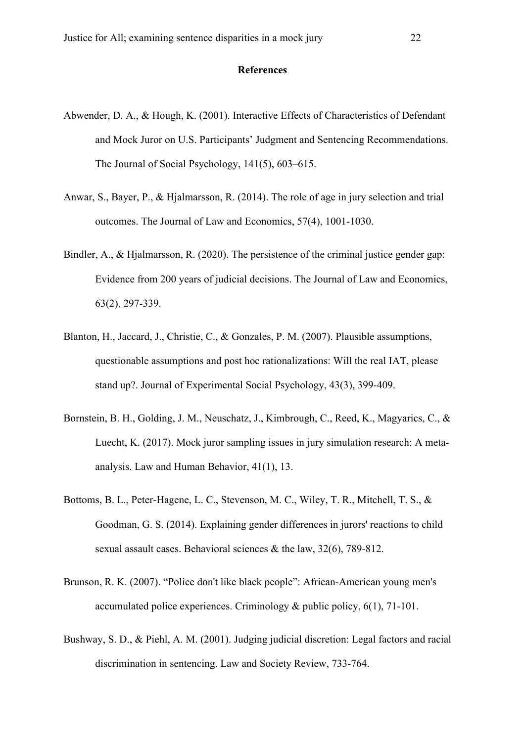#### **References**

- Abwender, D. A., & Hough, K. (2001). Interactive Effects of Characteristics of Defendant and Mock Juror on U.S. Participants' Judgment and Sentencing Recommendations. The Journal of Social Psychology, 141(5), 603–615.
- Anwar, S., Bayer, P., & Hjalmarsson, R. (2014). The role of age in jury selection and trial outcomes. The Journal of Law and Economics, 57(4), 1001-1030.
- Bindler, A., & Hjalmarsson, R. (2020). The persistence of the criminal justice gender gap: Evidence from 200 years of judicial decisions. The Journal of Law and Economics, 63(2), 297-339.
- Blanton, H., Jaccard, J., Christie, C., & Gonzales, P. M. (2007). Plausible assumptions, questionable assumptions and post hoc rationalizations: Will the real IAT, please stand up?. Journal of Experimental Social Psychology, 43(3), 399-409.
- Bornstein, B. H., Golding, J. M., Neuschatz, J., Kimbrough, C., Reed, K., Magyarics, C., & Luecht, K. (2017). Mock juror sampling issues in jury simulation research: A metaanalysis. Law and Human Behavior, 41(1), 13.
- Bottoms, B. L., Peter‐Hagene, L. C., Stevenson, M. C., Wiley, T. R., Mitchell, T. S., & Goodman, G. S. (2014). Explaining gender differences in jurors' reactions to child sexual assault cases. Behavioral sciences & the law, 32(6), 789-812.
- Brunson, R. K. (2007). "Police don't like black people": African‐American young men's accumulated police experiences. Criminology  $\&$  public policy, 6(1), 71-101.
- Bushway, S. D., & Piehl, A. M. (2001). Judging judicial discretion: Legal factors and racial discrimination in sentencing. Law and Society Review, 733-764.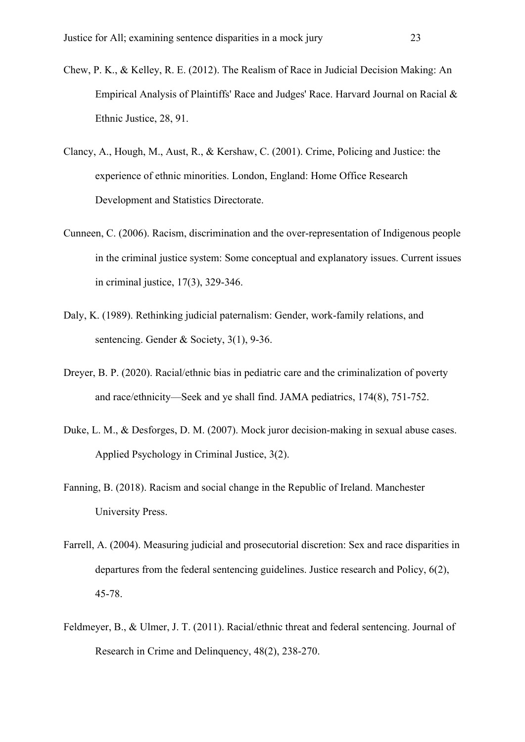- Chew, P. K., & Kelley, R. E. (2012). The Realism of Race in Judicial Decision Making: An Empirical Analysis of Plaintiffs' Race and Judges' Race. Harvard Journal on Racial & Ethnic Justice, 28, 91.
- Clancy, A., Hough, M., Aust, R., & Kershaw, C. (2001). Crime, Policing and Justice: the experience of ethnic minorities. London, England: Home Office Research Development and Statistics Directorate.
- Cunneen, C. (2006). Racism, discrimination and the over-representation of Indigenous people in the criminal justice system: Some conceptual and explanatory issues. Current issues in criminal justice, 17(3), 329-346.
- Daly, K. (1989). Rethinking judicial paternalism: Gender, work-family relations, and sentencing. Gender & Society, 3(1), 9-36.
- Dreyer, B. P. (2020). Racial/ethnic bias in pediatric care and the criminalization of poverty and race/ethnicity—Seek and ye shall find. JAMA pediatrics, 174(8), 751-752.
- Duke, L. M., & Desforges, D. M. (2007). Mock juror decision-making in sexual abuse cases. Applied Psychology in Criminal Justice, 3(2).
- Fanning, B. (2018). Racism and social change in the Republic of Ireland. Manchester University Press.
- Farrell, A. (2004). Measuring judicial and prosecutorial discretion: Sex and race disparities in departures from the federal sentencing guidelines. Justice research and Policy, 6(2), 45-78.
- Feldmeyer, B., & Ulmer, J. T. (2011). Racial/ethnic threat and federal sentencing. Journal of Research in Crime and Delinquency, 48(2), 238-270.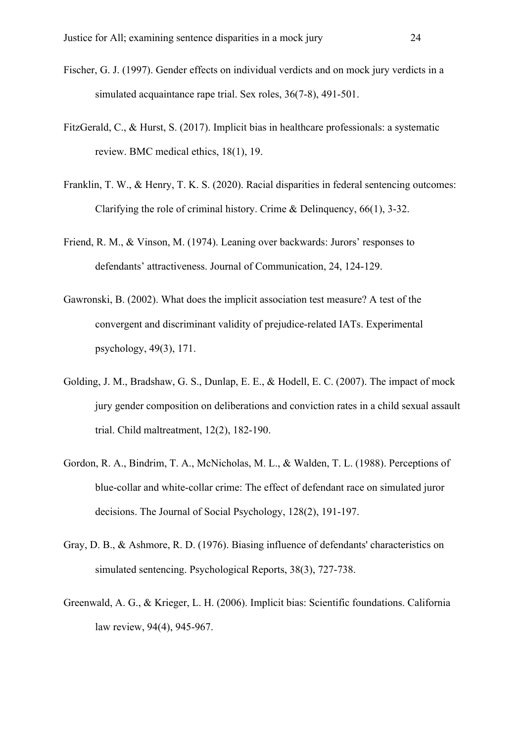- Fischer, G. J. (1997). Gender effects on individual verdicts and on mock jury verdicts in a simulated acquaintance rape trial. Sex roles, 36(7-8), 491-501.
- FitzGerald, C., & Hurst, S. (2017). Implicit bias in healthcare professionals: a systematic review. BMC medical ethics, 18(1), 19.
- Franklin, T. W., & Henry, T. K. S. (2020). Racial disparities in federal sentencing outcomes: Clarifying the role of criminal history. Crime & Delinquency, 66(1), 3-32.
- Friend, R. M., & Vinson, M. (1974). Leaning over backwards: Jurors' responses to defendants' attractiveness. Journal of Communication, 24, 124-129.
- Gawronski, B. (2002). What does the implicit association test measure? A test of the convergent and discriminant validity of prejudice-related IATs. Experimental psychology, 49(3), 171.
- Golding, J. M., Bradshaw, G. S., Dunlap, E. E., & Hodell, E. C. (2007). The impact of mock jury gender composition on deliberations and conviction rates in a child sexual assault trial. Child maltreatment, 12(2), 182-190.
- Gordon, R. A., Bindrim, T. A., McNicholas, M. L., & Walden, T. L. (1988). Perceptions of blue-collar and white-collar crime: The effect of defendant race on simulated juror decisions. The Journal of Social Psychology, 128(2), 191-197.
- Gray, D. B., & Ashmore, R. D. (1976). Biasing influence of defendants' characteristics on simulated sentencing. Psychological Reports, 38(3), 727-738.
- Greenwald, A. G., & Krieger, L. H. (2006). Implicit bias: Scientific foundations. California law review, 94(4), 945-967.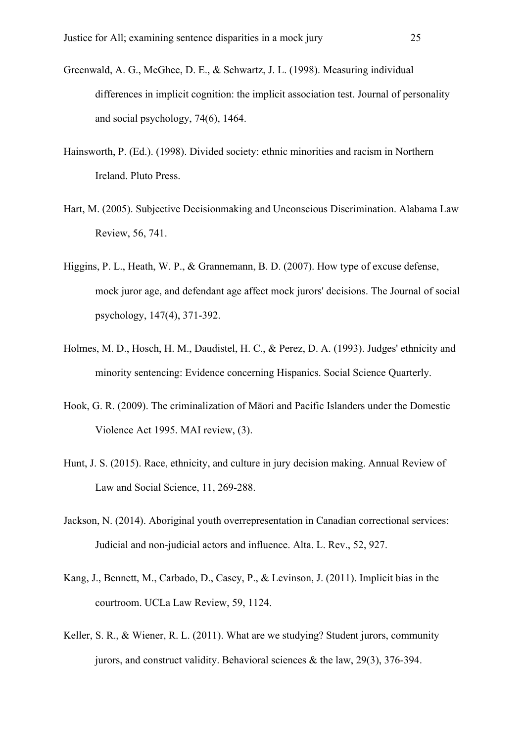- Greenwald, A. G., McGhee, D. E., & Schwartz, J. L. (1998). Measuring individual differences in implicit cognition: the implicit association test. Journal of personality and social psychology, 74(6), 1464.
- Hainsworth, P. (Ed.). (1998). Divided society: ethnic minorities and racism in Northern Ireland. Pluto Press.
- Hart, M. (2005). Subjective Decisionmaking and Unconscious Discrimination. Alabama Law Review, 56, 741.
- Higgins, P. L., Heath, W. P., & Grannemann, B. D. (2007). How type of excuse defense, mock juror age, and defendant age affect mock jurors' decisions. The Journal of social psychology, 147(4), 371-392.
- Holmes, M. D., Hosch, H. M., Daudistel, H. C., & Perez, D. A. (1993). Judges' ethnicity and minority sentencing: Evidence concerning Hispanics. Social Science Quarterly.
- Hook, G. R. (2009). The criminalization of Māori and Pacific Islanders under the Domestic Violence Act 1995. MAI review, (3).
- Hunt, J. S. (2015). Race, ethnicity, and culture in jury decision making. Annual Review of Law and Social Science, 11, 269-288.
- Jackson, N. (2014). Aboriginal youth overrepresentation in Canadian correctional services: Judicial and non-judicial actors and influence. Alta. L. Rev., 52, 927.
- Kang, J., Bennett, M., Carbado, D., Casey, P., & Levinson, J. (2011). Implicit bias in the courtroom. UCLa Law Review, 59, 1124.
- Keller, S. R., & Wiener, R. L. (2011). What are we studying? Student jurors, community jurors, and construct validity. Behavioral sciences & the law, 29(3), 376-394.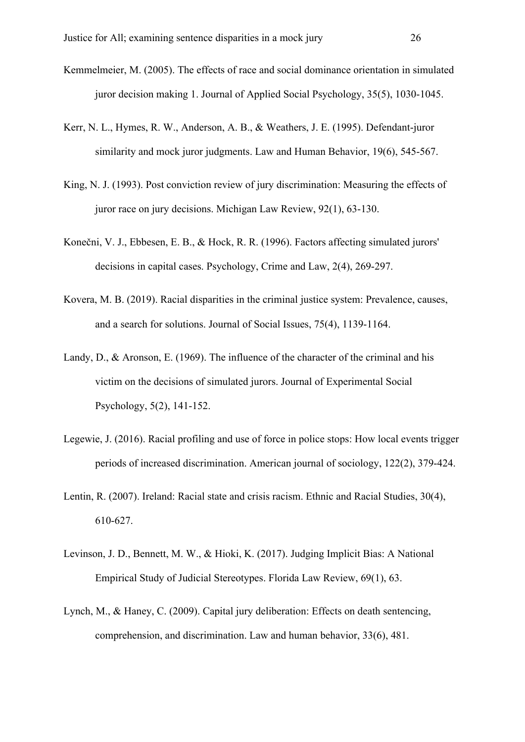- Kemmelmeier, M. (2005). The effects of race and social dominance orientation in simulated juror decision making 1. Journal of Applied Social Psychology, 35(5), 1030-1045.
- Kerr, N. L., Hymes, R. W., Anderson, A. B., & Weathers, J. E. (1995). Defendant-juror similarity and mock juror judgments. Law and Human Behavior, 19(6), 545-567.
- King, N. J. (1993). Post conviction review of jury discrimination: Measuring the effects of juror race on jury decisions. Michigan Law Review, 92(1), 63-130.
- Konečni, V. J., Ebbesen, E. B., & Hock, R. R. (1996). Factors affecting simulated jurors' decisions in capital cases. Psychology, Crime and Law, 2(4), 269-297.
- Kovera, M. B. (2019). Racial disparities in the criminal justice system: Prevalence, causes, and a search for solutions. Journal of Social Issues, 75(4), 1139-1164.
- Landy, D., & Aronson, E. (1969). The influence of the character of the criminal and his victim on the decisions of simulated jurors. Journal of Experimental Social Psychology, 5(2), 141-152.
- Legewie, J. (2016). Racial profiling and use of force in police stops: How local events trigger periods of increased discrimination. American journal of sociology, 122(2), 379-424.
- Lentin, R. (2007). Ireland: Racial state and crisis racism. Ethnic and Racial Studies, 30(4), 610-627.
- Levinson, J. D., Bennett, M. W., & Hioki, K. (2017). Judging Implicit Bias: A National Empirical Study of Judicial Stereotypes. Florida Law Review, 69(1), 63.
- Lynch, M., & Haney, C. (2009). Capital jury deliberation: Effects on death sentencing, comprehension, and discrimination. Law and human behavior, 33(6), 481.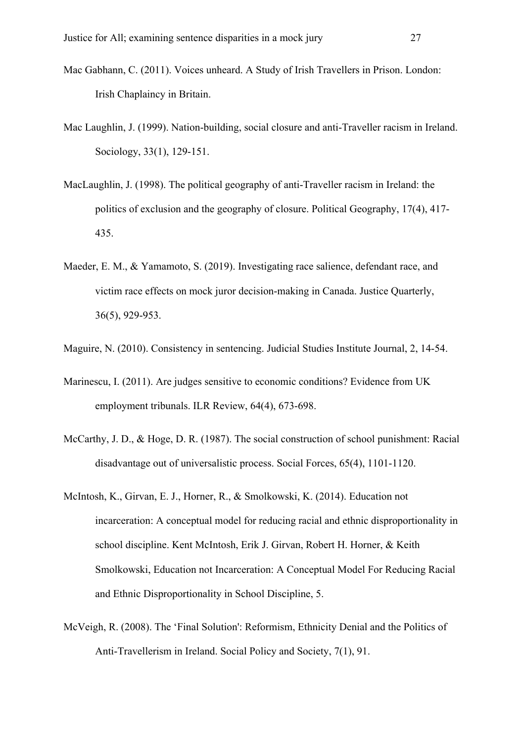- Mac Gabhann, C. (2011). Voices unheard. A Study of Irish Travellers in Prison. London: Irish Chaplaincy in Britain.
- Mac Laughlin, J. (1999). Nation-building, social closure and anti-Traveller racism in Ireland. Sociology, 33(1), 129-151.
- MacLaughlin, J. (1998). The political geography of anti-Traveller racism in Ireland: the politics of exclusion and the geography of closure. Political Geography, 17(4), 417- 435.
- Maeder, E. M., & Yamamoto, S. (2019). Investigating race salience, defendant race, and victim race effects on mock juror decision-making in Canada. Justice Quarterly, 36(5), 929-953.
- Maguire, N. (2010). Consistency in sentencing. Judicial Studies Institute Journal, 2, 14-54.
- Marinescu, I. (2011). Are judges sensitive to economic conditions? Evidence from UK employment tribunals. ILR Review, 64(4), 673-698.
- McCarthy, J. D., & Hoge, D. R. (1987). The social construction of school punishment: Racial disadvantage out of universalistic process. Social Forces, 65(4), 1101-1120.
- McIntosh, K., Girvan, E. J., Horner, R., & Smolkowski, K. (2014). Education not incarceration: A conceptual model for reducing racial and ethnic disproportionality in school discipline. Kent McIntosh, Erik J. Girvan, Robert H. Horner, & Keith Smolkowski, Education not Incarceration: A Conceptual Model For Reducing Racial and Ethnic Disproportionality in School Discipline, 5.
- McVeigh, R. (2008). The 'Final Solution': Reformism, Ethnicity Denial and the Politics of Anti-Travellerism in Ireland. Social Policy and Society, 7(1), 91.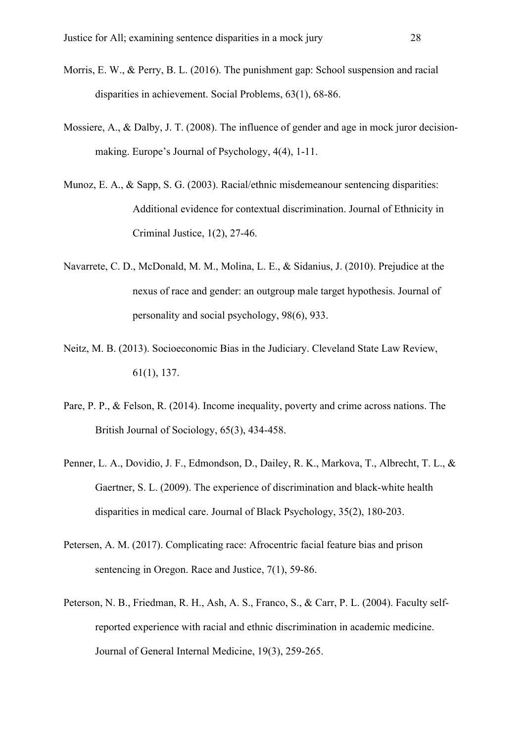- Morris, E. W., & Perry, B. L. (2016). The punishment gap: School suspension and racial disparities in achievement. Social Problems, 63(1), 68-86.
- Mossiere, A., & Dalby, J. T. (2008). The influence of gender and age in mock juror decisionmaking. Europe's Journal of Psychology, 4(4), 1-11.
- Munoz, E. A., & Sapp, S. G. (2003). Racial/ethnic misdemeanour sentencing disparities: Additional evidence for contextual discrimination. Journal of Ethnicity in Criminal Justice, 1(2), 27-46.
- Navarrete, C. D., McDonald, M. M., Molina, L. E., & Sidanius, J. (2010). Prejudice at the nexus of race and gender: an outgroup male target hypothesis. Journal of personality and social psychology, 98(6), 933.
- Neitz, M. B. (2013). Socioeconomic Bias in the Judiciary. Cleveland State Law Review, 61(1), 137.
- Pare, P. P., & Felson, R. (2014). Income inequality, poverty and crime across nations. The British Journal of Sociology, 65(3), 434-458.
- Penner, L. A., Dovidio, J. F., Edmondson, D., Dailey, R. K., Markova, T., Albrecht, T. L., & Gaertner, S. L. (2009). The experience of discrimination and black-white health disparities in medical care. Journal of Black Psychology, 35(2), 180-203.
- Petersen, A. M. (2017). Complicating race: Afrocentric facial feature bias and prison sentencing in Oregon. Race and Justice, 7(1), 59-86.
- Peterson, N. B., Friedman, R. H., Ash, A. S., Franco, S., & Carr, P. L. (2004). Faculty selfreported experience with racial and ethnic discrimination in academic medicine. Journal of General Internal Medicine, 19(3), 259-265.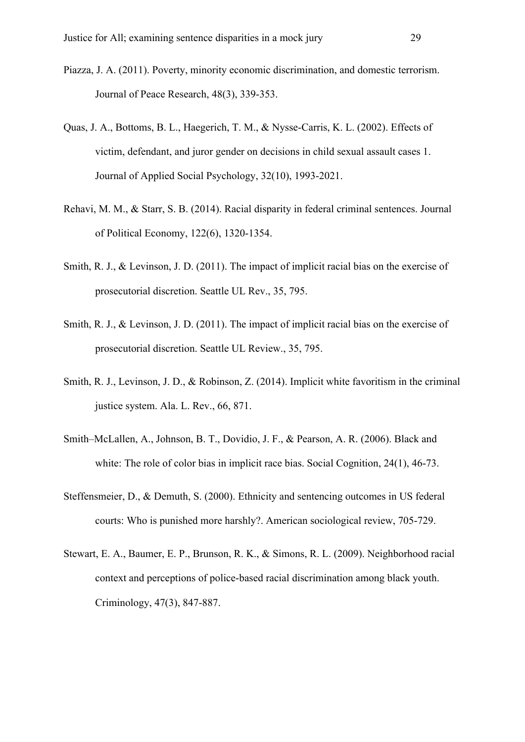- Piazza, J. A. (2011). Poverty, minority economic discrimination, and domestic terrorism. Journal of Peace Research, 48(3), 339-353.
- Quas, J. A., Bottoms, B. L., Haegerich, T. M., & Nysse-Carris, K. L. (2002). Effects of victim, defendant, and juror gender on decisions in child sexual assault cases 1. Journal of Applied Social Psychology, 32(10), 1993-2021.
- Rehavi, M. M., & Starr, S. B. (2014). Racial disparity in federal criminal sentences. Journal of Political Economy, 122(6), 1320-1354.
- Smith, R. J., & Levinson, J. D. (2011). The impact of implicit racial bias on the exercise of prosecutorial discretion. Seattle UL Rev., 35, 795.
- Smith, R. J., & Levinson, J. D. (2011). The impact of implicit racial bias on the exercise of prosecutorial discretion. Seattle UL Review., 35, 795.
- Smith, R. J., Levinson, J. D., & Robinson, Z. (2014). Implicit white favoritism in the criminal justice system. Ala. L. Rev., 66, 871.
- Smith–McLallen, A., Johnson, B. T., Dovidio, J. F., & Pearson, A. R. (2006). Black and white: The role of color bias in implicit race bias. Social Cognition, 24(1), 46-73.
- Steffensmeier, D., & Demuth, S. (2000). Ethnicity and sentencing outcomes in US federal courts: Who is punished more harshly?. American sociological review, 705-729.
- Stewart, E. A., Baumer, E. P., Brunson, R. K., & Simons, R. L. (2009). Neighborhood racial context and perceptions of police‐based racial discrimination among black youth. Criminology, 47(3), 847-887.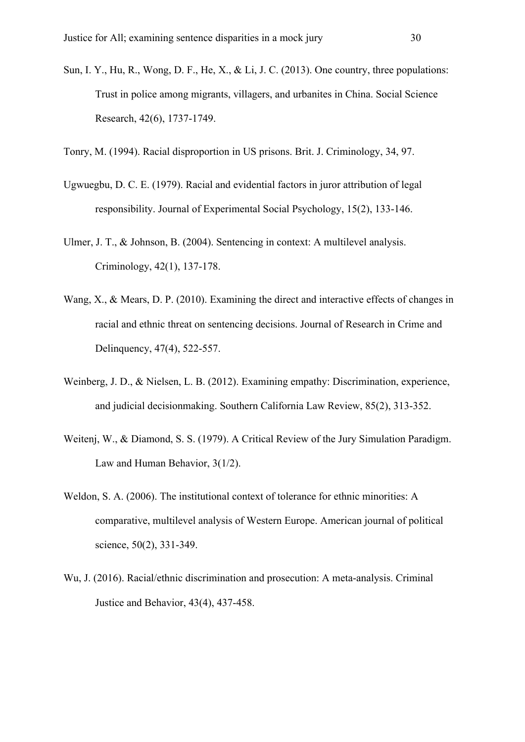Sun, I. Y., Hu, R., Wong, D. F., He, X., & Li, J. C. (2013). One country, three populations: Trust in police among migrants, villagers, and urbanites in China. Social Science Research, 42(6), 1737-1749.

Tonry, M. (1994). Racial disproportion in US prisons. Brit. J. Criminology, 34, 97.

- Ugwuegbu, D. C. E. (1979). Racial and evidential factors in juror attribution of legal responsibility. Journal of Experimental Social Psychology, 15(2), 133-146.
- Ulmer, J. T., & Johnson, B. (2004). Sentencing in context: A multilevel analysis. Criminology, 42(1), 137-178.
- Wang, X., & Mears, D. P. (2010). Examining the direct and interactive effects of changes in racial and ethnic threat on sentencing decisions. Journal of Research in Crime and Delinquency, 47(4), 522-557.
- Weinberg, J. D., & Nielsen, L. B. (2012). Examining empathy: Discrimination, experience, and judicial decisionmaking. Southern California Law Review, 85(2), 313-352.
- Weitenj, W., & Diamond, S. S. (1979). A Critical Review of the Jury Simulation Paradigm. Law and Human Behavior, 3(1/2).
- Weldon, S. A. (2006). The institutional context of tolerance for ethnic minorities: A comparative, multilevel analysis of Western Europe. American journal of political science, 50(2), 331-349.
- Wu, J. (2016). Racial/ethnic discrimination and prosecution: A meta-analysis. Criminal Justice and Behavior, 43(4), 437-458.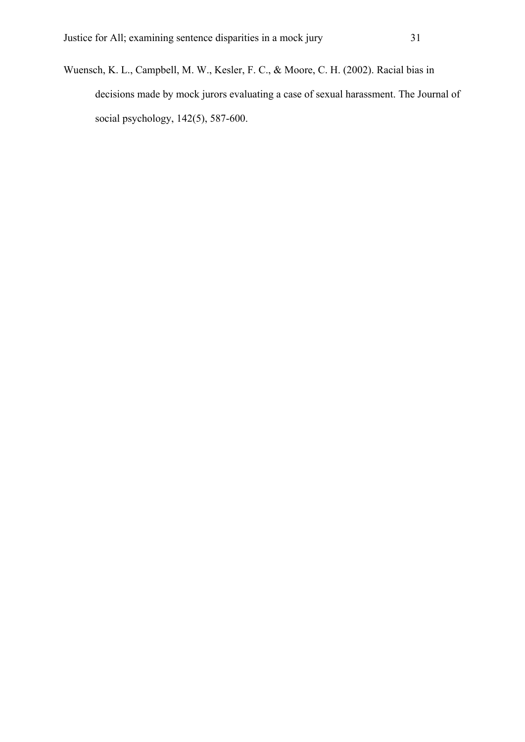Wuensch, K. L., Campbell, M. W., Kesler, F. C., & Moore, C. H. (2002). Racial bias in decisions made by mock jurors evaluating a case of sexual harassment. The Journal of social psychology, 142(5), 587-600.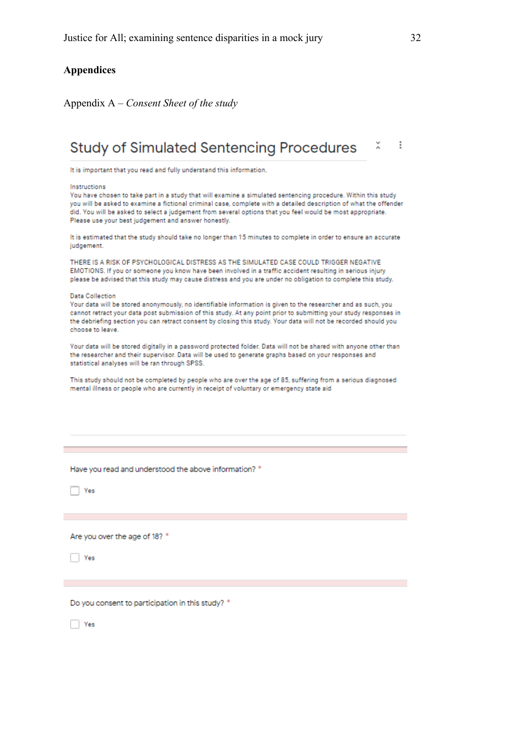### **Appendices**

Appendix A – *Consent Sheet of the study*

# Study of Simulated Sentencing Procedures X i

It is important that you read and fully understand this information.

#### Instructions

You have chosen to take part in a study that will examine a simulated sentencing procedure. Within this study you will be asked to examine a fictional criminal case, complete with a detailed description of what the offender did. You will be asked to select a judgement from several options that you feel would be most appropriate. Please use your best judgement and answer honestly.

It is estimated that the study should take no longer than 15 minutes to complete in order to ensure an accurate judgement.

THERE IS A RISK OF PSYCHOLOGICAL DISTRESS AS THE SIMULATED CASE COULD TRIGGER NEGATIVE EMOTIONS. If you or someone you know have been involved in a traffic accident resulting in serious injury please be advised that this study may cause distress and you are under no obligation to complete this study.

#### **Data Collection**

Your data will be stored anonymously, no identifiable information is given to the researcher and as such, you cannot retract your data post submission of this study. At any point prior to submitting your study responses in the debriefing section you can retract consent by closing this study. Your data will not be recorded should you choose to leave.

Your data will be stored digitally in a password protected folder. Data will not be shared with anyone other than the researcher and their supervisor. Data will be used to generate graphs based on your responses and statistical analyses will be ran through SPSS.

This study should not be completed by people who are over the age of 85, suffering from a serious diagnosed mental illness or people who are currently in receipt of voluntary or emergency state aid

Have you read and understood the above information? \*

 $\Box$  Yes

Are you over the age of 18? \*

**Yes** 

Do you consent to participation in this study? \*

 $\Box$  Yes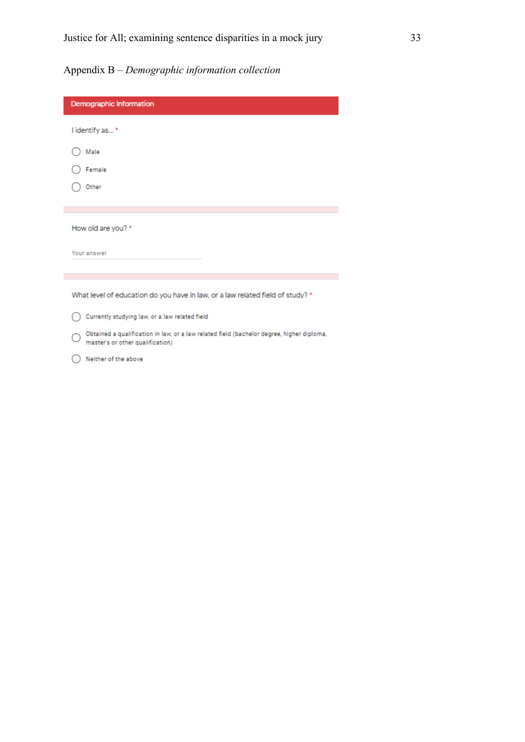# Appendix B – *Demographic information collection*

| Demographic Information                                                                                                       |
|-------------------------------------------------------------------------------------------------------------------------------|
| I identify as*                                                                                                                |
| Male                                                                                                                          |
| Female                                                                                                                        |
| Other                                                                                                                         |
|                                                                                                                               |
|                                                                                                                               |
| How old are you? *                                                                                                            |
| Your answer                                                                                                                   |
|                                                                                                                               |
| What level of education do you have in law, or a law related field of study? *                                                |
|                                                                                                                               |
| Currently studying law, or a law related field                                                                                |
| Obtained a qualification in law, or a law related field (bachelor degree, higher diploma,<br>master's or other qualification) |
| Neither of the above                                                                                                          |
|                                                                                                                               |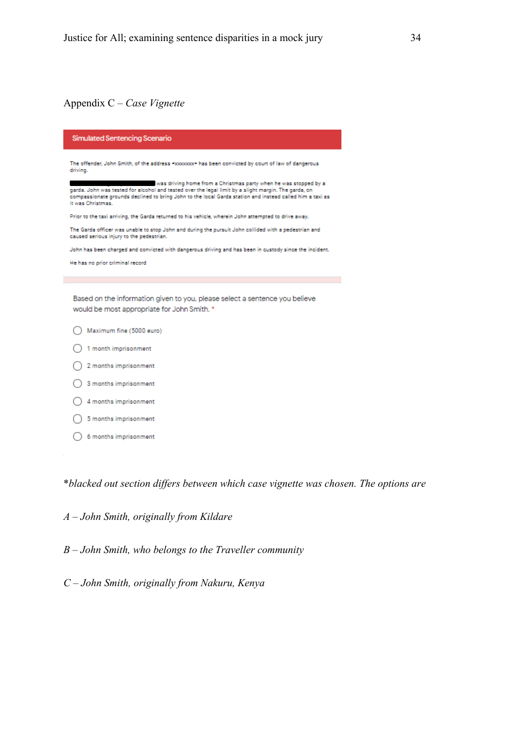# Appendix C – *Case Vignette*

| <b>Simulated Sentencing Scenario</b>                                                                                                                                                                                                                                                                      |
|-----------------------------------------------------------------------------------------------------------------------------------------------------------------------------------------------------------------------------------------------------------------------------------------------------------|
| The offender, John Smith, of the address =xxxxxxx= has been convicted by court of law of dangerous<br>driving.                                                                                                                                                                                            |
| was driving home from a Christmas party when he was stopped by a<br>garda. John was tested for alcohol and tested over the legal limit by a slight margin. The garda, on<br>compassionate grounds declined to bring John to the local Garda station and instead called him a taxi as<br>it was Christmas. |
| Prior to the taxi arriving, the Garda returned to his vehicle, wherein John attempted to drive away.                                                                                                                                                                                                      |
| The Garda officer was unable to stop John and during the pursuit John collided with a pedestrian and<br>caused serious injury to the pedestrian.                                                                                                                                                          |
| John has been charged and convicted with dangerous driving and has been in custody since the incident.                                                                                                                                                                                                    |
| He has no prior criminal record                                                                                                                                                                                                                                                                           |
|                                                                                                                                                                                                                                                                                                           |
| Based on the information given to you, please select a sentence you believe<br>would be most appropriate for John Smith. *                                                                                                                                                                                |
| Maximum fine (5000 euro)                                                                                                                                                                                                                                                                                  |
| 1 month imprisonment                                                                                                                                                                                                                                                                                      |
| 2 months imprisonment                                                                                                                                                                                                                                                                                     |
| 3 months imprisonment                                                                                                                                                                                                                                                                                     |
| 4 months imprisonment                                                                                                                                                                                                                                                                                     |
| 5 months imprisonment                                                                                                                                                                                                                                                                                     |
| 6 months imprisonment                                                                                                                                                                                                                                                                                     |

\**blacked out section differs between which case vignette was chosen. The options are*

*A – John Smith, originally from Kildare*

*B – John Smith, who belongs to the Traveller community*

*C – John Smith, originally from Nakuru, Kenya*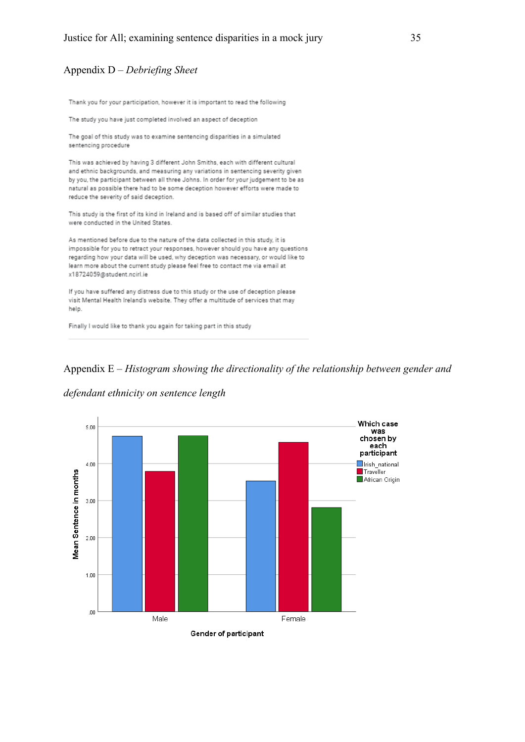### Appendix D – *Debriefing Sheet*

Thank you for your participation, however it is important to read the following

The study you have just completed involved an aspect of deception

The goal of this study was to examine sentencing disparities in a simulated sentencing procedure

This was achieved by having 3 different John Smiths, each with different cultural and ethnic backgrounds, and measuring any variations in sentencing severity given by you, the participant between all three Johns. In order for your judgement to be as natural as possible there had to be some deception however efforts were made to reduce the severity of said deception.

This study is the first of its kind in Ireland and is based off of similar studies that were conducted in the United States.

As mentioned before due to the nature of the data collected in this study, it is impossible for you to retract your responses, however should you have any questions regarding how your data will be used, why deception was necessary, or would like to learn more about the current study please feel free to contact me via email at x18724059@student.ncirl.ie

If you have suffered any distress due to this study or the use of deception please visit Mental Health Ireland's website. They offer a multitude of services that may help.

Finally I would like to thank you again for taking part in this study





*defendant ethnicity on sentence length*

Gender of participant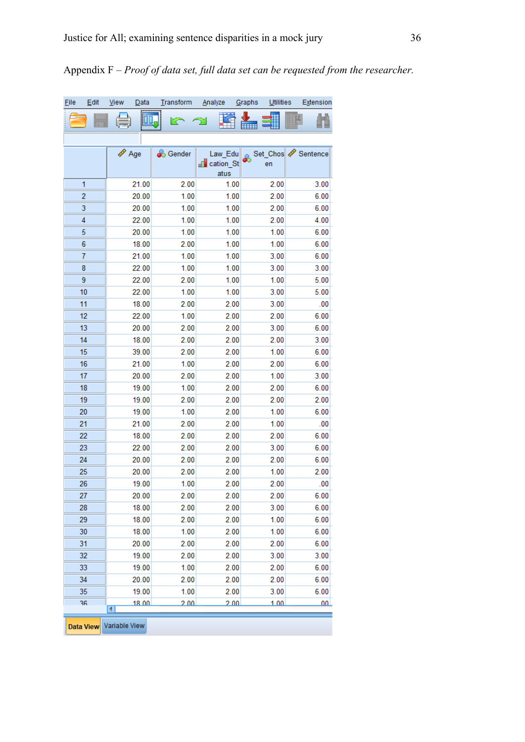| Eile | Edit             | <u>V</u> iew  | Data           | Transform       | Analyze                                     | Graphs<br>Utilities | Extension         |
|------|------------------|---------------|----------------|-----------------|---------------------------------------------|---------------------|-------------------|
|      |                  |               | ,,,,,,,,,,,,   | rс              |                                             | HHH                 |                   |
|      |                  |               |                |                 |                                             |                     |                   |
|      |                  | Age           |                | <b>S</b> Gender | Law_Edu<br><mark>⊩ cation_St</mark><br>atus | en                  | Set_Chos Sentence |
|      | 1                |               | 21.00          | 2.00            | 1.00                                        | 2.00                | 3.00              |
|      | $\overline{c}$   |               | 20.00          | 1.00            | 1.00                                        | 2.00                | 6.00              |
|      | 3                |               | 20.00          | 1.00            | 1.00                                        | 2.00                | 6.00              |
|      | 4                |               | 22.00          | 1.00            | 1.00                                        | 2.00                | 4.00              |
|      | 5                |               | 20.00          | 1.00            | 1.00                                        | 1.00                | 6.00              |
|      | 6                |               | 18.00          | 2.00            | 1.00                                        | 1.00                | 6.00              |
|      | 7                |               | 21.00          | 1.00            | 1.00                                        | 3.00                | 6.00              |
|      | 8                |               | 22.00          | 1.00            | 1.00                                        | 3.00                | 3.00              |
|      | 9                |               | 22.00          | 2.00            | 1.00                                        | 1.00                | 5.00              |
|      | 10               |               | 22.00          | 1.00            | 1.00                                        | 3.00                | 5.00              |
|      | 11               |               | 18.00          | 2.00            | 2.00                                        | 3.00                | .00               |
|      | 12               |               | 22.00          | 1.00            | 2.00                                        | 2.00                | 6.00              |
|      | 13               |               | 20.00          | 2.00            | 2.00                                        | 3.00                | 6.00              |
|      | 14               |               | 18.00          | 2.00            | 2.00                                        | 2.00                | 3.00              |
|      | 15               |               | 39.00          | 2.00            | 2.00                                        | 1.00                | 6.00              |
|      | 16               |               | 21.00          | 1.00            | 2.00                                        | 2.00                | 6.00              |
|      | 17               |               | 20.00          | 2.00            | 2.00                                        | 1.00                | 3.00              |
|      | 18               |               | 19.00          | 1.00            | 2.00                                        | 2.00                | 6.00              |
|      | 19               |               | 19.00          | 2.00            | 2.00                                        | 2.00                | 2.00              |
|      | 20               |               | 19.00          | 1.00            | 2.00                                        | 1.00                | 6.00              |
|      | 21               |               | 21.00          | 2.00            | 2.00                                        | 1.00                | .00               |
|      | 22               |               | 18.00          | 2.00            | 2.00                                        | 2.00                | 6.00              |
|      | 23               |               | 22.00          | 2.00            | 2.00                                        | 3.00                | 6.00              |
|      | 24               |               | 20.00          | 2.00            | 2.00                                        | 2.00                | 6.00              |
|      | 25               |               | 20.00          | 2.00            | 2.00                                        | 1.00                | 2.00              |
|      | 26               |               | 19.00          | 1.00            | 2.00                                        | 2.00                | .00               |
|      | 27<br>28         |               | 20.00<br>18.00 | 2.00<br>2.00    | 2.00<br>2.00                                | 2.00<br>3.00        | 6.00<br>6.00      |
|      | 29               |               | 18.00          | 2.00            | 2.00                                        | 1.00                | 6.00              |
|      | 30               |               | 18.00          | 1.00            | 2.00                                        | 1.00                | 6.00              |
|      | 31               |               | 20.00          | 2.00            | 2.00                                        | 2.00                | 6.00              |
|      | 32               |               | 19.00          | 2.00            | 2.00                                        | 3.00                | 3.00              |
|      | 33               |               | 19.00          | 1.00            | 2.00                                        | 2.00                | 6.00              |
|      | 34               |               | 20.00          | 2.00            | 2.00                                        | 2.00                | 6.00              |
|      | 35               |               | 19.00          | 1.00            | 2.00                                        | 3.00                | 6.00              |
|      | 36               | 4             | 18.00          | 200             | 200                                         | 1.00                | 00 <sub>1</sub>   |
|      | <b>Data View</b> | Variable View |                |                 |                                             |                     |                   |